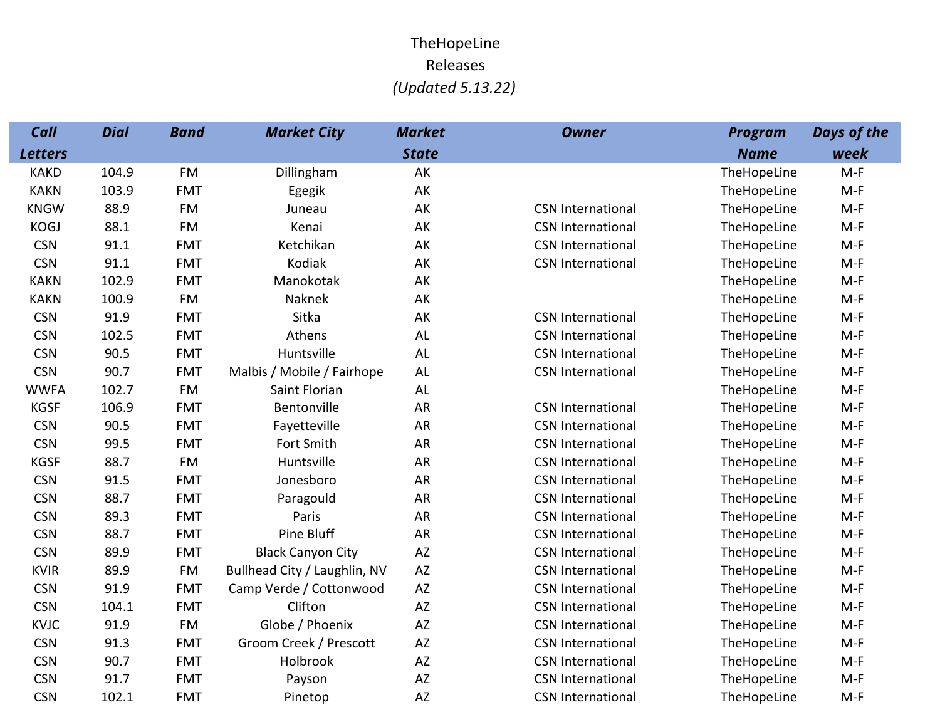## TheHopeLineReleases(Updated 5.13.22)

| Call           | <b>Dial</b> | <b>Band</b> | <b>Market City</b>           | <b>Market</b> | <b>Owner</b>             | <b>Program</b> | <b>Days of the</b> |
|----------------|-------------|-------------|------------------------------|---------------|--------------------------|----------------|--------------------|
| <b>Letters</b> |             |             |                              | <b>State</b>  |                          | <b>Name</b>    | week               |
| <b>KAKD</b>    | 104.9       | <b>FM</b>   | Dillingham                   | AK            |                          | TheHopeLine    | $M-F$              |
| <b>KAKN</b>    | 103.9       | <b>FMT</b>  | Egegik                       | AK            |                          | TheHopeLine    | $M-F$              |
| <b>KNGW</b>    | 88.9        | <b>FM</b>   | Juneau                       | AK            | <b>CSN International</b> | TheHopeLine    | $M-F$              |
| <b>KOGJ</b>    | 88.1        | <b>FM</b>   | Kenai                        | AK            | <b>CSN International</b> | TheHopeLine    | $M-F$              |
| <b>CSN</b>     | 91.1        | <b>FMT</b>  | Ketchikan                    | AK            | <b>CSN International</b> | TheHopeLine    | $M-F$              |
| <b>CSN</b>     | 91.1        | <b>FMT</b>  | <b>Kodiak</b>                | AK            | <b>CSN International</b> | TheHopeLine    | $M-F$              |
| <b>KAKN</b>    | 102.9       | <b>FMT</b>  | Manokotak                    | AK            |                          | TheHopeLine    | $M-F$              |
| <b>KAKN</b>    | 100.9       | <b>FM</b>   | Naknek                       | AK            |                          | TheHopeLine    | $M-F$              |
| <b>CSN</b>     | 91.9        | <b>FMT</b>  | Sitka                        | AK            | <b>CSN International</b> | TheHopeLine    | $M-F$              |
| <b>CSN</b>     | 102.5       | <b>FMT</b>  | Athens                       | AL            | <b>CSN International</b> | TheHopeLine    | $M-F$              |
| <b>CSN</b>     | 90.5        | <b>FMT</b>  | Huntsville                   | AL            | <b>CSN International</b> | TheHopeLine    | $M-F$              |
| <b>CSN</b>     | 90.7        | <b>FMT</b>  | Malbis / Mobile / Fairhope   | AL            | <b>CSN International</b> | TheHopeLine    | $M-F$              |
| <b>WWFA</b>    | 102.7       | <b>FM</b>   | Saint Florian                | AL            |                          | TheHopeLine    | $M-F$              |
| <b>KGSF</b>    | 106.9       | <b>FMT</b>  | Bentonville                  | AR            | <b>CSN International</b> | TheHopeLine    | $M-F$              |
| <b>CSN</b>     | 90.5        | <b>FMT</b>  | Fayetteville                 | AR            | <b>CSN International</b> | TheHopeLine    | $M-F$              |
| <b>CSN</b>     | 99.5        | <b>FMT</b>  | Fort Smith                   | <b>AR</b>     | <b>CSN International</b> | TheHopeLine    | $M-F$              |
| <b>KGSF</b>    | 88.7        | <b>FM</b>   | Huntsville                   | AR            | <b>CSN International</b> | TheHopeLine    | $M-F$              |
| <b>CSN</b>     | 91.5        | <b>FMT</b>  | Jonesboro                    | AR            | <b>CSN International</b> | TheHopeLine    | $M-F$              |
| <b>CSN</b>     | 88.7        | <b>FMT</b>  | Paragould                    | AR            | <b>CSN International</b> | TheHopeLine    | $M-F$              |
| <b>CSN</b>     | 89.3        | <b>FMT</b>  | Paris                        | AR            | <b>CSN International</b> | TheHopeLine    | $M-F$              |
| <b>CSN</b>     | 88.7        | <b>FMT</b>  | Pine Bluff                   | AR            | <b>CSN International</b> | TheHopeLine    | $M-F$              |
| <b>CSN</b>     | 89.9        | <b>FMT</b>  | <b>Black Canyon City</b>     | AZ            | <b>CSN International</b> | TheHopeLine    | $M-F$              |
| <b>KVIR</b>    | 89.9        | <b>FM</b>   | Bullhead City / Laughlin, NV | AZ            | <b>CSN International</b> | TheHopeLine    | $M-F$              |
| <b>CSN</b>     | 91.9        | <b>FMT</b>  | Camp Verde / Cottonwood      | AZ            | <b>CSN International</b> | TheHopeLine    | $M-F$              |
| <b>CSN</b>     | 104.1       | <b>FMT</b>  | Clifton                      | AZ            | <b>CSN International</b> | TheHopeLine    | $M-F$              |
| <b>KVJC</b>    | 91.9        | <b>FM</b>   | Globe / Phoenix              | AZ            | <b>CSN International</b> | TheHopeLine    | $M-F$              |
| <b>CSN</b>     | 91.3        | <b>FMT</b>  | Groom Creek / Prescott       | AZ            | <b>CSN International</b> | TheHopeLine    | $M-F$              |
| <b>CSN</b>     | 90.7        | <b>FMT</b>  | Holbrook                     | AZ            | <b>CSN International</b> | TheHopeLine    | $M-F$              |
| <b>CSN</b>     | 91.7        | <b>FMT</b>  | Payson                       | AZ            | <b>CSN International</b> | TheHopeLine    | $M-F$              |
| <b>CSN</b>     | 102.1       | <b>FMT</b>  | Pinetop                      | AZ            | <b>CSN International</b> | TheHopeLine    | $M-F$              |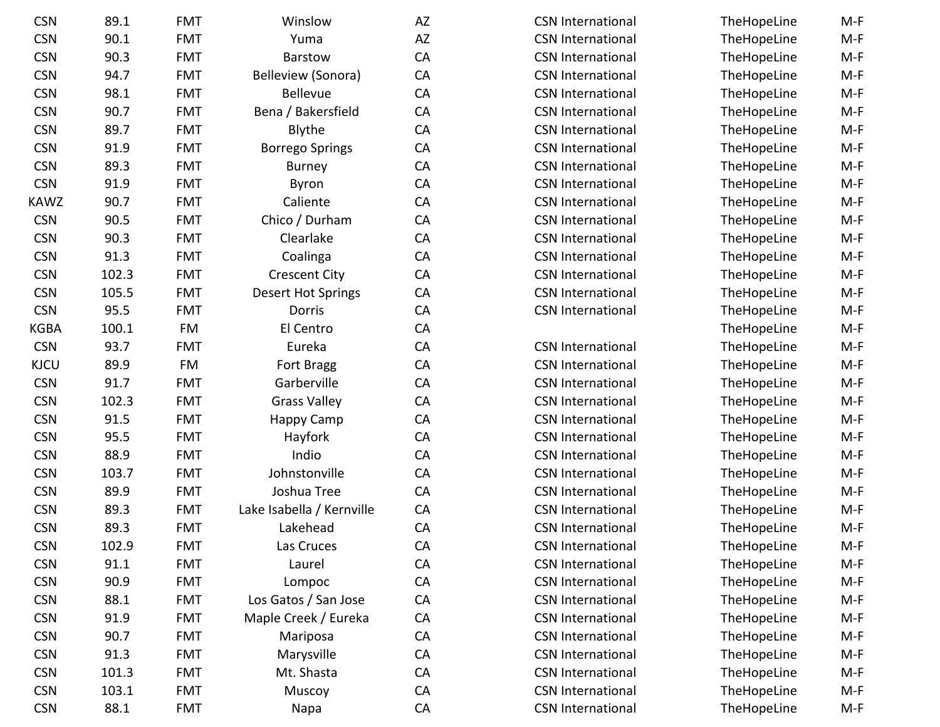| <b>CSN</b>  | 89.1  | <b>FMT</b> | Winslow                   | AZ        | <b>CSN International</b> | TheHopeLine | $M-F$ |
|-------------|-------|------------|---------------------------|-----------|--------------------------|-------------|-------|
| <b>CSN</b>  | 90.1  | <b>FMT</b> | Yuma                      | AZ        | <b>CSN International</b> | TheHopeLine | $M-F$ |
| <b>CSN</b>  | 90.3  | <b>FMT</b> | Barstow                   | CA        | <b>CSN International</b> | TheHopeLine | $M-F$ |
| <b>CSN</b>  | 94.7  | <b>FMT</b> | Belleview (Sonora)        | CA        | <b>CSN International</b> | TheHopeLine | $M-F$ |
| <b>CSN</b>  | 98.1  | <b>FMT</b> | <b>Bellevue</b>           | CA        | <b>CSN International</b> | TheHopeLine | $M-F$ |
| <b>CSN</b>  | 90.7  | <b>FMT</b> | Bena / Bakersfield        | CA        | <b>CSN International</b> | TheHopeLine | $M-F$ |
| <b>CSN</b>  | 89.7  | <b>FMT</b> | Blythe                    | CA        | <b>CSN International</b> | TheHopeLine | $M-F$ |
| <b>CSN</b>  | 91.9  | <b>FMT</b> | <b>Borrego Springs</b>    | CA        | <b>CSN International</b> | TheHopeLine | $M-F$ |
| <b>CSN</b>  | 89.3  | <b>FMT</b> | <b>Burney</b>             | CA        | <b>CSN International</b> | TheHopeLine | $M-F$ |
| <b>CSN</b>  | 91.9  | <b>FMT</b> | <b>Byron</b>              | CA        | <b>CSN International</b> | TheHopeLine | $M-F$ |
| KAWZ        | 90.7  | <b>FMT</b> | Caliente                  | CA        | <b>CSN International</b> | TheHopeLine | $M-F$ |
| <b>CSN</b>  | 90.5  | <b>FMT</b> | Chico / Durham            | CA        | <b>CSN International</b> | TheHopeLine | $M-F$ |
| <b>CSN</b>  | 90.3  | <b>FMT</b> | Clearlake                 | CA        | <b>CSN International</b> | TheHopeLine | $M-F$ |
| <b>CSN</b>  | 91.3  | <b>FMT</b> | Coalinga                  | CA        | <b>CSN International</b> | TheHopeLine | $M-F$ |
| <b>CSN</b>  | 102.3 | <b>FMT</b> | <b>Crescent City</b>      | CA        | <b>CSN International</b> | TheHopeLine | $M-F$ |
| <b>CSN</b>  | 105.5 | <b>FMT</b> | <b>Desert Hot Springs</b> | CA        | <b>CSN International</b> | TheHopeLine | $M-F$ |
| <b>CSN</b>  | 95.5  | <b>FMT</b> | Dorris                    | CA        | <b>CSN International</b> | TheHopeLine | $M-F$ |
| <b>KGBA</b> | 100.1 | <b>FM</b>  | El Centro                 | CA        |                          | TheHopeLine | $M-F$ |
| <b>CSN</b>  | 93.7  | <b>FMT</b> | Eureka                    | CA        | <b>CSN International</b> | TheHopeLine | $M-F$ |
| <b>KJCU</b> | 89.9  | FM         | Fort Bragg                | CA        | <b>CSN International</b> | TheHopeLine | $M-F$ |
| <b>CSN</b>  | 91.7  | <b>FMT</b> | Garberville               | <b>CA</b> | <b>CSN International</b> | TheHopeLine | $M-F$ |
| <b>CSN</b>  | 102.3 | <b>FMT</b> | <b>Grass Valley</b>       | CA        | <b>CSN International</b> | TheHopeLine | $M-F$ |
| <b>CSN</b>  | 91.5  | <b>FMT</b> | Happy Camp                | CA        | <b>CSN International</b> | TheHopeLine | $M-F$ |
| <b>CSN</b>  | 95.5  | <b>FMT</b> | Hayfork                   | CA        | <b>CSN International</b> | TheHopeLine | $M-F$ |
| <b>CSN</b>  | 88.9  | <b>FMT</b> | Indio                     | CA        | <b>CSN International</b> | TheHopeLine | $M-F$ |
| <b>CSN</b>  | 103.7 | <b>FMT</b> | Johnstonville             | CA        | <b>CSN International</b> | TheHopeLine | $M-F$ |
| <b>CSN</b>  | 89.9  | <b>FMT</b> | Joshua Tree               | CA        | <b>CSN International</b> | TheHopeLine | $M-F$ |
| <b>CSN</b>  | 89.3  | <b>FMT</b> | Lake Isabella / Kernville | CA        | <b>CSN International</b> | TheHopeLine | $M-F$ |
| <b>CSN</b>  | 89.3  | <b>FMT</b> | Lakehead                  | CA        | <b>CSN International</b> | TheHopeLine | $M-F$ |
| <b>CSN</b>  | 102.9 | <b>FMT</b> | Las Cruces                | CA        | <b>CSN International</b> | TheHopeLine | $M-F$ |
| <b>CSN</b>  | 91.1  | <b>FMT</b> | Laurel                    | CA        | <b>CSN International</b> | TheHopeLine | $M-F$ |
| <b>CSN</b>  | 90.9  | <b>FMT</b> | Lompoc                    | CA        | <b>CSN International</b> | TheHopeLine | $M-F$ |
| <b>CSN</b>  | 88.1  | <b>FMT</b> | Los Gatos / San Jose      | CA        | <b>CSN International</b> | TheHopeLine | $M-F$ |
| <b>CSN</b>  | 91.9  | <b>FMT</b> | Maple Creek / Eureka      | CA        | <b>CSN International</b> | TheHopeLine | $M-F$ |
| <b>CSN</b>  | 90.7  | <b>FMT</b> | Mariposa                  | CA        | <b>CSN International</b> | TheHopeLine | $M-F$ |
| <b>CSN</b>  | 91.3  | <b>FMT</b> | Marysville                | CA        | <b>CSN International</b> | TheHopeLine | $M-F$ |
| <b>CSN</b>  | 101.3 | <b>FMT</b> | Mt. Shasta                | CA        | <b>CSN International</b> | TheHopeLine | $M-F$ |
| <b>CSN</b>  | 103.1 | <b>FMT</b> | Muscoy                    | CA        | <b>CSN International</b> | TheHopeLine | $M-F$ |
| <b>CSN</b>  | 88.1  | <b>FMT</b> | Napa                      | CA        | <b>CSN International</b> | TheHopeLine | $M-F$ |
|             |       |            |                           |           |                          |             |       |

| W         | AZ | <b>CSN International</b> | TheHopeLine | $M-F$ |
|-----------|----|--------------------------|-------------|-------|
|           | AZ | <b>CSN International</b> | TheHopeLine | $M-F$ |
| W         | CA | <b>CSN International</b> | TheHopeLine | $M-F$ |
| ionora)   | CA | <b>CSN International</b> | TheHopeLine | $M-F$ |
| ıе        | CA | <b>CSN International</b> | TheHopeLine | $M-F$ |
| ersfield  | CA | <b>CSN International</b> | TheHopeLine | $M-F$ |
|           | CA | <b>CSN International</b> | TheHopeLine | $M-F$ |
| orings    | CA | <b>CSN International</b> | TheHopeLine | $M-F$ |
| у         | CA | <b>CSN International</b> | TheHopeLine | $M-F$ |
|           | CA | <b>CSN International</b> | TheHopeLine | $M-F$ |
| te        | CA | <b>CSN International</b> | TheHopeLine | $M-F$ |
| rham      | CA | <b>CSN International</b> | TheHopeLine | $M-F$ |
| ke        | CA | <b>CSN International</b> | TheHopeLine | $M-F$ |
| за        | CA | <b>CSN International</b> | TheHopeLine | M-F   |
| City      | CA | <b>CSN International</b> | TheHopeLine | $M-F$ |
| Springs   | CA | <b>CSN International</b> | TheHopeLine | $M-F$ |
|           | CA | <b>CSN International</b> | TheHopeLine | $M-F$ |
| ro        | CA |                          | TheHopeLine | $M-F$ |
| а         | CA | <b>CSN International</b> | TheHopeLine | $M-F$ |
| igg       | CA | <b>CSN International</b> | TheHopeLine | M-F   |
| ille      | CA | <b>CSN International</b> | TheHopeLine | $M-F$ |
| lley      | CA | <b>CSN International</b> | TheHopeLine | $M-F$ |
| amp       | CA | <b>CSN International</b> | TheHopeLine | $M-F$ |
| ۰k        | CA | <b>CSN International</b> | TheHopeLine | $M-F$ |
|           | CA | <b>CSN International</b> | TheHopeLine | $M-F$ |
| ville     | CA | <b>CSN International</b> | TheHopeLine | $M-F$ |
| ree       | CA | <b>CSN International</b> | TheHopeLine | $M-F$ |
| Kernville | CA | <b>CSN International</b> | TheHopeLine | $M-F$ |
| ad        | CA | <b>CSN International</b> | TheHopeLine | $M-F$ |
| ces       | CA | <b>CSN International</b> | TheHopeLine | $M-F$ |
|           | CA | <b>CSN International</b> | TheHopeLine | $M-F$ |
| ОC        | CA | <b>CSN International</b> | TheHopeLine | M-F   |
| an Jose   | CA | <b>CSN International</b> | TheHopeLine | M-F   |
| / Eureka  | CA | <b>CSN International</b> | TheHopeLine | $M-F$ |
| sa        | CA | <b>CSN International</b> | TheHopeLine | M-F   |
| ille      | CA | <b>CSN International</b> | TheHopeLine | M-F   |
| sta       | CA | <b>CSN International</b> | TheHopeLine | M-F   |
| ïу        | CA | <b>CSN International</b> | TheHopeLine | $M-F$ |
|           | CA | <b>CSN International</b> | TheHopeLine | $M-F$ |

| TheHopeLine | M-F   |
|-------------|-------|
| TheHopeLine | M-F   |
| TheHopeLine | M-F   |
| TheHopeLine | M-F   |
| TheHopeLine | M-F   |
| TheHopeLine | M-F   |
| TheHopeLine | M-F   |
| TheHopeLine | M-F   |
| TheHopeLine | M-F   |
| TheHopeLine | M-F   |
| TheHopeLine | M-F   |
| TheHopeLine | M-F   |
| TheHopeLine | M-F   |
| TheHopeLine | M-F   |
| TheHopeLine | M-F   |
| TheHopeLine | M-F   |
| TheHopeLine | M-F   |
| TheHopeLine | M-F   |
| TheHopeLine | M-F   |
| TheHopeLine | M-F   |
| TheHopeLine | M-F   |
| TheHopeLine | M-F   |
| TheHopeLine | M-F   |
| TheHopeLine | M-F   |
| TheHopeLine | M-F   |
| TheHopeLine | M-F   |
| TheHopeLine | M-F   |
| TheHopeLine | M-F   |
| TheHopeLine | M-F   |
| TheHopeLine | M-F   |
| TheHopeLine | M-F   |
| TheHopeLine | $M-F$ |
| TheHopeLine | M-F   |
| TheHopeLine | M-F   |
| TheHopeLine | M-F   |
| TheHopeLine | M-F   |
| TheHopeLine | M-F   |
| TheHopeLine | M-F   |
| TheHopeLine | M-F   |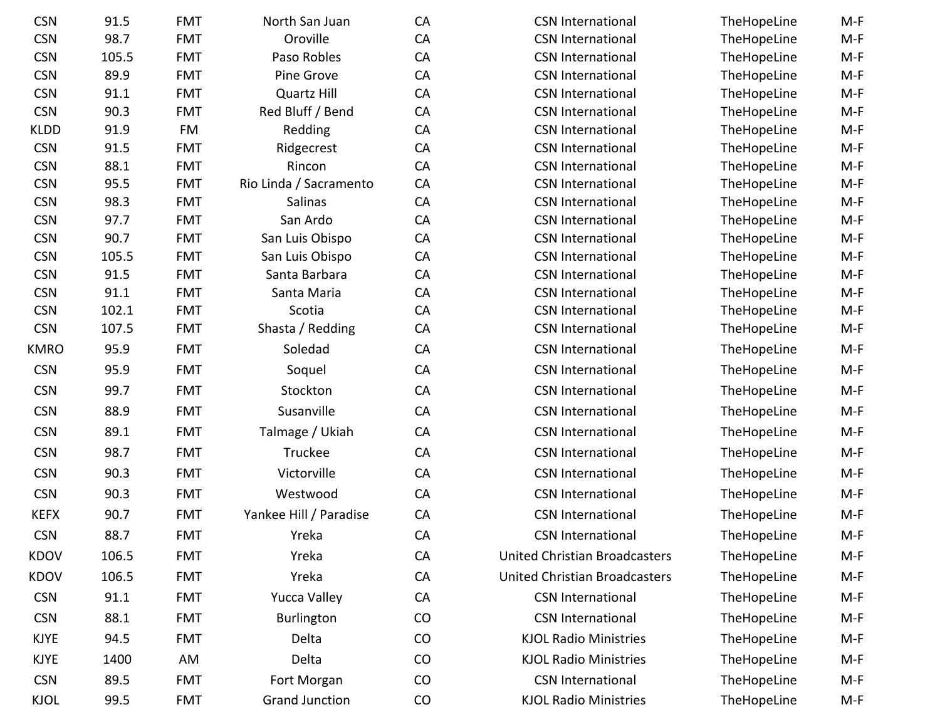| <b>CSN</b>  | 91.5  | <b>FMT</b> | North San Juan         | CA | <b>CSN International</b>             | TheHopeLine | $M-F$ |
|-------------|-------|------------|------------------------|----|--------------------------------------|-------------|-------|
| <b>CSN</b>  | 98.7  | <b>FMT</b> | Oroville               | CA | <b>CSN International</b>             | TheHopeLine | $M-F$ |
| <b>CSN</b>  | 105.5 | <b>FMT</b> | Paso Robles            | CA | <b>CSN International</b>             | TheHopeLine | $M-F$ |
| <b>CSN</b>  | 89.9  | <b>FMT</b> | Pine Grove             | CA | <b>CSN International</b>             | TheHopeLine | $M-F$ |
| <b>CSN</b>  | 91.1  | <b>FMT</b> | <b>Quartz Hill</b>     | CA | <b>CSN International</b>             | TheHopeLine | $M-F$ |
| <b>CSN</b>  | 90.3  | <b>FMT</b> | Red Bluff / Bend       | CA | <b>CSN International</b>             | TheHopeLine | $M-F$ |
| <b>KLDD</b> | 91.9  | FM         | Redding                | CA | <b>CSN International</b>             | TheHopeLine | $M-F$ |
| <b>CSN</b>  | 91.5  | <b>FMT</b> | Ridgecrest             | CA | <b>CSN International</b>             | TheHopeLine | $M-F$ |
| <b>CSN</b>  | 88.1  | <b>FMT</b> | Rincon                 | CA | <b>CSN International</b>             | TheHopeLine | $M-F$ |
| <b>CSN</b>  | 95.5  | <b>FMT</b> | Rio Linda / Sacramento | CA | <b>CSN International</b>             | TheHopeLine | $M-F$ |
| <b>CSN</b>  | 98.3  | <b>FMT</b> | Salinas                | CA | <b>CSN International</b>             | TheHopeLine | $M-F$ |
| <b>CSN</b>  | 97.7  | <b>FMT</b> | San Ardo               | CA | <b>CSN International</b>             | TheHopeLine | $M-F$ |
| <b>CSN</b>  | 90.7  | <b>FMT</b> | San Luis Obispo        | CA | <b>CSN International</b>             | TheHopeLine | $M-F$ |
| <b>CSN</b>  | 105.5 | <b>FMT</b> | San Luis Obispo        | CA | <b>CSN International</b>             | TheHopeLine | $M-F$ |
| <b>CSN</b>  | 91.5  | <b>FMT</b> | Santa Barbara          | CA | <b>CSN International</b>             | TheHopeLine | $M-F$ |
| <b>CSN</b>  | 91.1  | <b>FMT</b> | Santa Maria            | CA | <b>CSN International</b>             | TheHopeLine | $M-F$ |
| <b>CSN</b>  | 102.1 | <b>FMT</b> | Scotia                 | CA | <b>CSN International</b>             | TheHopeLine | $M-F$ |
| <b>CSN</b>  | 107.5 | <b>FMT</b> | Shasta / Redding       | CA | <b>CSN International</b>             | TheHopeLine | $M-F$ |
| <b>KMRO</b> | 95.9  | <b>FMT</b> | Soledad                | CA | <b>CSN International</b>             | TheHopeLine | $M-F$ |
| <b>CSN</b>  | 95.9  | <b>FMT</b> | Soquel                 | CA | <b>CSN International</b>             | TheHopeLine | $M-F$ |
| <b>CSN</b>  | 99.7  | <b>FMT</b> | Stockton               | CA | <b>CSN International</b>             | TheHopeLine | $M-F$ |
| <b>CSN</b>  | 88.9  | <b>FMT</b> | Susanville             | CA | <b>CSN International</b>             | TheHopeLine | $M-F$ |
| <b>CSN</b>  | 89.1  | <b>FMT</b> | Talmage / Ukiah        | CA | <b>CSN International</b>             | TheHopeLine | $M-F$ |
| <b>CSN</b>  | 98.7  | <b>FMT</b> | Truckee                | CA | <b>CSN International</b>             | TheHopeLine | $M-F$ |
| <b>CSN</b>  | 90.3  | <b>FMT</b> | Victorville            | CA | <b>CSN International</b>             | TheHopeLine | $M-F$ |
| <b>CSN</b>  | 90.3  | <b>FMT</b> | Westwood               | CA | <b>CSN International</b>             | TheHopeLine | $M-F$ |
| <b>KEFX</b> | 90.7  | <b>FMT</b> | Yankee Hill / Paradise | CA | <b>CSN International</b>             | TheHopeLine | $M-F$ |
| <b>CSN</b>  | 88.7  | <b>FMT</b> | Yreka                  | CA | <b>CSN International</b>             | TheHopeLine | $M-F$ |
| <b>KDOV</b> | 106.5 | <b>FMT</b> | Yreka                  | CA | <b>United Christian Broadcasters</b> | TheHopeLine | $M-F$ |
| <b>KDOV</b> | 106.5 | <b>FMT</b> | Yreka                  | CA | <b>United Christian Broadcasters</b> | TheHopeLine | $M-F$ |
| <b>CSN</b>  | 91.1  | <b>FMT</b> | <b>Yucca Valley</b>    | CA | <b>CSN International</b>             | TheHopeLine | $M-F$ |
| <b>CSN</b>  | 88.1  | <b>FMT</b> | Burlington             | CO | <b>CSN International</b>             | TheHopeLine | $M-F$ |
| <b>KJYE</b> | 94.5  | <b>FMT</b> | Delta                  | CO | <b>KJOL Radio Ministries</b>         | TheHopeLine | $M-F$ |
| <b>KJYE</b> | 1400  | AM         | Delta                  | CO | <b>KJOL Radio Ministries</b>         | TheHopeLine | $M-F$ |
| <b>CSN</b>  | 89.5  | <b>FMT</b> | Fort Morgan            | CO | <b>CSN</b> International             | TheHopeLine | $M-F$ |
| <b>KJOL</b> | 99.5  | <b>FMT</b> | <b>Grand Junction</b>  | CO | <b>KJOL Radio Ministries</b>         | TheHopeLine | M-F   |
|             |       |            |                        |    |                                      |             |       |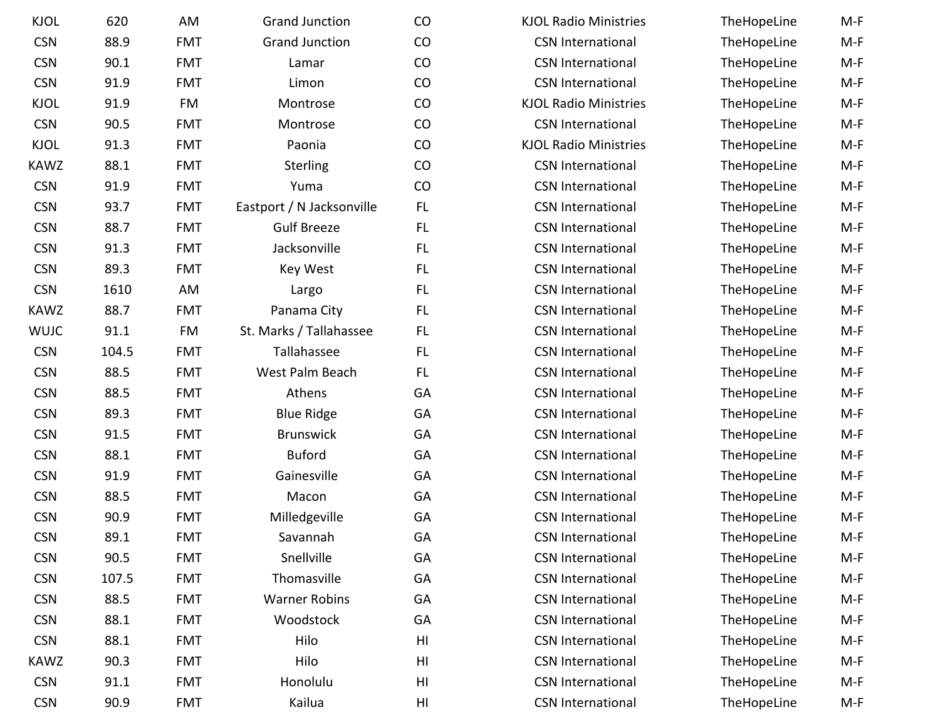| <b>KJOL</b> | 620   | AM         | <b>Grand Junction</b>     | CO             | <b>KJOL Radio Ministries</b> | TheHopeLine | $M-F$ |
|-------------|-------|------------|---------------------------|----------------|------------------------------|-------------|-------|
| <b>CSN</b>  | 88.9  | <b>FMT</b> | <b>Grand Junction</b>     | CO             | <b>CSN International</b>     | TheHopeLine | $M-F$ |
| <b>CSN</b>  | 90.1  | <b>FMT</b> | Lamar                     | CO             | <b>CSN International</b>     | TheHopeLine | $M-F$ |
| <b>CSN</b>  | 91.9  | <b>FMT</b> | Limon                     | CO             | <b>CSN International</b>     | TheHopeLine | $M-F$ |
| <b>KJOL</b> | 91.9  | <b>FM</b>  | Montrose                  | CO             | <b>KJOL Radio Ministries</b> | TheHopeLine | $M-F$ |
| <b>CSN</b>  | 90.5  | <b>FMT</b> | Montrose                  | CO             | <b>CSN International</b>     | TheHopeLine | $M-F$ |
| <b>KJOL</b> | 91.3  | <b>FMT</b> | Paonia                    | CO             | <b>KJOL Radio Ministries</b> | TheHopeLine | $M-F$ |
| <b>KAWZ</b> | 88.1  | <b>FMT</b> | Sterling                  | CO             | <b>CSN International</b>     | TheHopeLine | $M-F$ |
| <b>CSN</b>  | 91.9  | <b>FMT</b> | Yuma                      | CO             | <b>CSN International</b>     | TheHopeLine | $M-F$ |
| <b>CSN</b>  | 93.7  | <b>FMT</b> | Eastport / N Jacksonville | FL.            | <b>CSN International</b>     | TheHopeLine | $M-F$ |
| <b>CSN</b>  | 88.7  | <b>FMT</b> | <b>Gulf Breeze</b>        | FL.            | <b>CSN International</b>     | TheHopeLine | $M-F$ |
| <b>CSN</b>  | 91.3  | <b>FMT</b> | Jacksonville              | FL.            | <b>CSN International</b>     | TheHopeLine | $M-F$ |
| <b>CSN</b>  | 89.3  | <b>FMT</b> | Key West                  | <b>FL</b>      | <b>CSN International</b>     | TheHopeLine | $M-F$ |
| <b>CSN</b>  | 1610  | AM         | Largo                     | FL.            | <b>CSN International</b>     | TheHopeLine | $M-F$ |
| <b>KAWZ</b> | 88.7  | <b>FMT</b> | Panama City               | FL.            | <b>CSN International</b>     | TheHopeLine | $M-F$ |
| <b>WUJC</b> | 91.1  | FM         | St. Marks / Tallahassee   | FL             | <b>CSN International</b>     | TheHopeLine | $M-F$ |
| <b>CSN</b>  | 104.5 | <b>FMT</b> | Tallahassee               | FL.            | <b>CSN International</b>     | TheHopeLine | $M-F$ |
| <b>CSN</b>  | 88.5  | <b>FMT</b> | West Palm Beach           | <b>FL</b>      | <b>CSN International</b>     | TheHopeLine | $M-F$ |
| <b>CSN</b>  | 88.5  | <b>FMT</b> | Athens                    | GA             | <b>CSN International</b>     | TheHopeLine | $M-F$ |
| <b>CSN</b>  | 89.3  | <b>FMT</b> | <b>Blue Ridge</b>         | GA             | <b>CSN International</b>     | TheHopeLine | $M-F$ |
| <b>CSN</b>  | 91.5  | <b>FMT</b> | <b>Brunswick</b>          | GA             | <b>CSN International</b>     | TheHopeLine | $M-F$ |
| <b>CSN</b>  | 88.1  | <b>FMT</b> | <b>Buford</b>             | GA             | <b>CSN International</b>     | TheHopeLine | $M-F$ |
| <b>CSN</b>  | 91.9  | <b>FMT</b> | Gainesville               | GA             | <b>CSN International</b>     | TheHopeLine | $M-F$ |
| <b>CSN</b>  | 88.5  | <b>FMT</b> | Macon                     | GA             | <b>CSN International</b>     | TheHopeLine | $M-F$ |
| <b>CSN</b>  | 90.9  | <b>FMT</b> | Milledgeville             | GA             | <b>CSN International</b>     | TheHopeLine | $M-F$ |
| <b>CSN</b>  | 89.1  | <b>FMT</b> | Savannah                  | GA             | <b>CSN International</b>     | TheHopeLine | $M-F$ |
| <b>CSN</b>  | 90.5  | <b>FMT</b> | Snellville                | GA             | <b>CSN International</b>     | TheHopeLine | $M-F$ |
| <b>CSN</b>  | 107.5 | <b>FMT</b> | Thomasville               | GA             | <b>CSN International</b>     | TheHopeLine | $M-F$ |
| <b>CSN</b>  | 88.5  | <b>FMT</b> | <b>Warner Robins</b>      | GA             | <b>CSN International</b>     | TheHopeLine | $M-F$ |
| <b>CSN</b>  | 88.1  | <b>FMT</b> | Woodstock                 | GA             | <b>CSN International</b>     | TheHopeLine | $M-F$ |
| <b>CSN</b>  | 88.1  | <b>FMT</b> | Hilo                      | HI             | <b>CSN International</b>     | TheHopeLine | $M-F$ |
| <b>KAWZ</b> | 90.3  | <b>FMT</b> | Hilo                      | H <sub>l</sub> | <b>CSN International</b>     | TheHopeLine | $M-F$ |
| <b>CSN</b>  | 91.1  | <b>FMT</b> | Honolulu                  | H <sub>l</sub> | <b>CSN International</b>     | TheHopeLine | $M-F$ |
| <b>CSN</b>  | 90.9  | <b>FMT</b> | Kailua                    | HI             | <b>CSN International</b>     | TheHopeLine | $M-F$ |
|             |       |            |                           |                |                              |             |       |

| <b>KJOL Radio Ministries</b> | TheHopeLine | $M-F$ |
|------------------------------|-------------|-------|
| <b>CSN International</b>     | TheHopeLine | $M-F$ |
| <b>CSN International</b>     | TheHopeLine | $M-F$ |
| <b>CSN International</b>     | TheHopeLine | $M-F$ |
| <b>KJOL Radio Ministries</b> | TheHopeLine | $M-F$ |
| <b>CSN International</b>     | TheHopeLine | $M-F$ |
| <b>KJOL Radio Ministries</b> | TheHopeLine | M-F   |
| <b>CSN International</b>     | TheHopeLine | $M-F$ |
| <b>CSN International</b>     | TheHopeLine | $M-F$ |
| <b>CSN International</b>     | TheHopeLine | $M-F$ |
| <b>CSN International</b>     | TheHopeLine | $M-F$ |
| <b>CSN International</b>     | TheHopeLine | $M-F$ |
| <b>CSN International</b>     | TheHopeLine | M-F   |
| <b>CSN International</b>     | TheHopeLine | M-F   |
| <b>CSN International</b>     | TheHopeLine | $M-F$ |
| <b>CSN International</b>     | TheHopeLine | M-F   |
| <b>CSN International</b>     | TheHopeLine | M-F   |
| <b>CSN International</b>     | TheHopeLine | $M-F$ |
| <b>CSN International</b>     | TheHopeLine | M-F   |
| <b>CSN International</b>     | TheHopeLine | $M-F$ |
| <b>CSN International</b>     | TheHopeLine | M-F   |
| <b>CSN International</b>     | TheHopeLine | M-F   |
| <b>CSN International</b>     | TheHopeLine | $M-F$ |
| <b>CSN International</b>     | TheHopeLine | M-F   |
| <b>CSN International</b>     | TheHopeLine | M-F   |
| <b>CSN International</b>     | TheHopeLine | M-F   |
| <b>CSN International</b>     | TheHopeLine | M-F   |
| <b>CSN International</b>     | TheHopeLine | M-F   |
| <b>CSN International</b>     | TheHopeLine | M-F   |
| <b>CSN International</b>     | TheHopeLine | $M-F$ |
| <b>CSN International</b>     | TheHopeLine | $M-F$ |
| <b>CSN International</b>     | TheHopeLine | $M-F$ |
| <b>CSN International</b>     | TheHopeLine | M-F   |
| <b>CSN International</b>     | TheHopeLine | M-F   |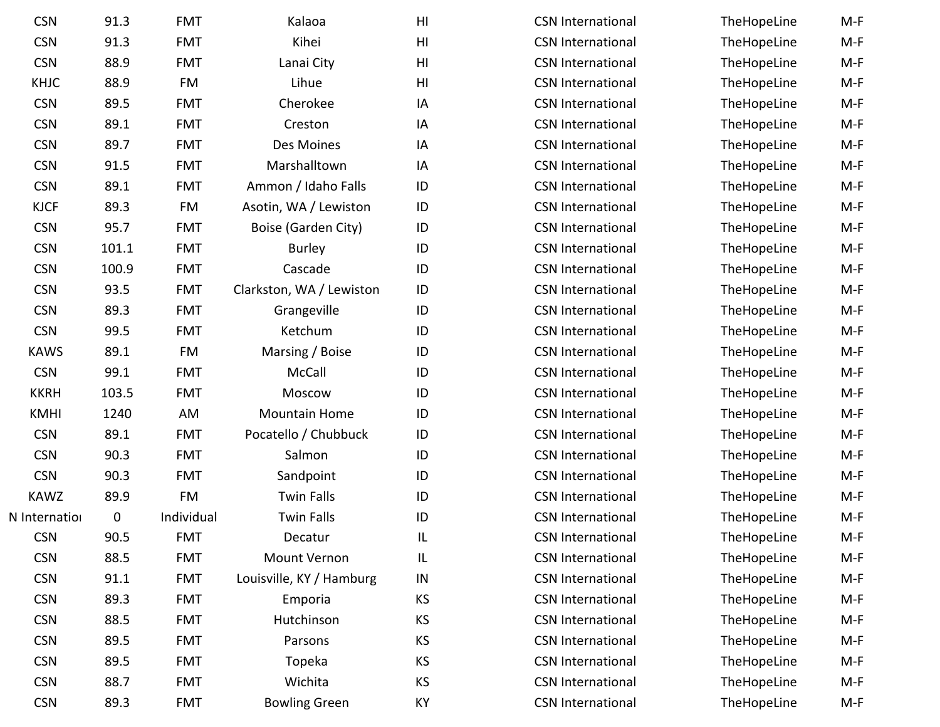| <b>CSN</b>    | 91.3        | <b>FMT</b> | Kalaoa                   | H <sub>l</sub>         | <b>CSN International</b> | TheHopeLine | $M-F$ |
|---------------|-------------|------------|--------------------------|------------------------|--------------------------|-------------|-------|
| <b>CSN</b>    | 91.3        | <b>FMT</b> | Kihei                    | H <sub>l</sub>         | <b>CSN International</b> | TheHopeLine | $M-F$ |
| <b>CSN</b>    | 88.9        | <b>FMT</b> | Lanai City               | $\mathsf{H}\mathsf{I}$ | <b>CSN International</b> | TheHopeLine | $M-F$ |
| <b>KHJC</b>   | 88.9        | <b>FM</b>  | Lihue                    | H <sub>l</sub>         | <b>CSN</b> International | TheHopeLine | $M-F$ |
| <b>CSN</b>    | 89.5        | <b>FMT</b> | Cherokee                 | IA                     | <b>CSN International</b> | TheHopeLine | $M-F$ |
| <b>CSN</b>    | 89.1        | <b>FMT</b> | Creston                  | IA                     | <b>CSN International</b> | TheHopeLine | $M-F$ |
| <b>CSN</b>    | 89.7        | <b>FMT</b> | Des Moines               | IA                     | <b>CSN International</b> | TheHopeLine | $M-F$ |
| <b>CSN</b>    | 91.5        | <b>FMT</b> | Marshalltown             | IA                     | <b>CSN International</b> | TheHopeLine | $M-F$ |
| <b>CSN</b>    | 89.1        | <b>FMT</b> | Ammon / Idaho Falls      | ID                     | <b>CSN International</b> | TheHopeLine | $M-F$ |
| <b>KJCF</b>   | 89.3        | FM         | Asotin, WA / Lewiston    | ID                     | <b>CSN International</b> | TheHopeLine | $M-F$ |
| <b>CSN</b>    | 95.7        | <b>FMT</b> | Boise (Garden City)      | ID                     | <b>CSN International</b> | TheHopeLine | $M-F$ |
| <b>CSN</b>    | 101.1       | <b>FMT</b> | <b>Burley</b>            | ID                     | <b>CSN International</b> | TheHopeLine | $M-F$ |
| <b>CSN</b>    | 100.9       | <b>FMT</b> | Cascade                  | ID                     | <b>CSN International</b> | TheHopeLine | $M-F$ |
| <b>CSN</b>    | 93.5        | <b>FMT</b> | Clarkston, WA / Lewiston | ID                     | <b>CSN International</b> | TheHopeLine | $M-F$ |
| <b>CSN</b>    | 89.3        | <b>FMT</b> | Grangeville              | ID                     | <b>CSN International</b> | TheHopeLine | $M-F$ |
| <b>CSN</b>    | 99.5        | <b>FMT</b> | Ketchum                  | ID                     | <b>CSN International</b> | TheHopeLine | $M-F$ |
| <b>KAWS</b>   | 89.1        | <b>FM</b>  | Marsing / Boise          | ID                     | <b>CSN International</b> | TheHopeLine | $M-F$ |
| <b>CSN</b>    | 99.1        | <b>FMT</b> | McCall                   | ID                     | <b>CSN International</b> | TheHopeLine | $M-F$ |
| <b>KKRH</b>   | 103.5       | <b>FMT</b> | Moscow                   | ID                     | <b>CSN International</b> | TheHopeLine | $M-F$ |
| <b>KMHI</b>   | 1240        | AM         | <b>Mountain Home</b>     | ID                     | <b>CSN International</b> | TheHopeLine | $M-F$ |
| <b>CSN</b>    | 89.1        | <b>FMT</b> | Pocatello / Chubbuck     | ID                     | <b>CSN International</b> | TheHopeLine | $M-F$ |
| <b>CSN</b>    | 90.3        | <b>FMT</b> | Salmon                   | ID                     | <b>CSN International</b> | TheHopeLine | $M-F$ |
| <b>CSN</b>    | 90.3        | <b>FMT</b> | Sandpoint                | ID                     | <b>CSN International</b> | TheHopeLine | $M-F$ |
| <b>KAWZ</b>   | 89.9        | <b>FM</b>  | <b>Twin Falls</b>        | ID                     | <b>CSN International</b> | TheHopeLine | $M-F$ |
| N Internation | $\mathbf 0$ | Individual | <b>Twin Falls</b>        | ID                     | <b>CSN International</b> | TheHopeLine | $M-F$ |
| <b>CSN</b>    | 90.5        | <b>FMT</b> | Decatur                  | IL                     | <b>CSN International</b> | TheHopeLine | $M-F$ |
| <b>CSN</b>    | 88.5        | <b>FMT</b> | Mount Vernon             | IL                     | <b>CSN International</b> | TheHopeLine | $M-F$ |
| <b>CSN</b>    | 91.1        | <b>FMT</b> | Louisville, KY / Hamburg | ${\sf IN}$             | <b>CSN International</b> | TheHopeLine | $M-F$ |
| <b>CSN</b>    | 89.3        | <b>FMT</b> | Emporia                  | KS                     | <b>CSN International</b> | TheHopeLine | $M-F$ |
| <b>CSN</b>    | 88.5        | <b>FMT</b> | Hutchinson               | KS                     | <b>CSN International</b> | TheHopeLine | $M-F$ |
| <b>CSN</b>    | 89.5        | <b>FMT</b> | Parsons                  | KS                     | <b>CSN International</b> | TheHopeLine | $M-F$ |
| <b>CSN</b>    | 89.5        | <b>FMT</b> | Topeka                   | KS                     | <b>CSN International</b> | TheHopeLine | $M-F$ |
| <b>CSN</b>    | 88.7        | <b>FMT</b> | Wichita                  | KS                     | <b>CSN International</b> | TheHopeLine | $M-F$ |
| <b>CSN</b>    | 89.3        | <b>FMT</b> | <b>Bowling Green</b>     | KY                     | <b>CSN International</b> | TheHopeLine | $M-F$ |
|               |             |            |                          |                        |                          |             |       |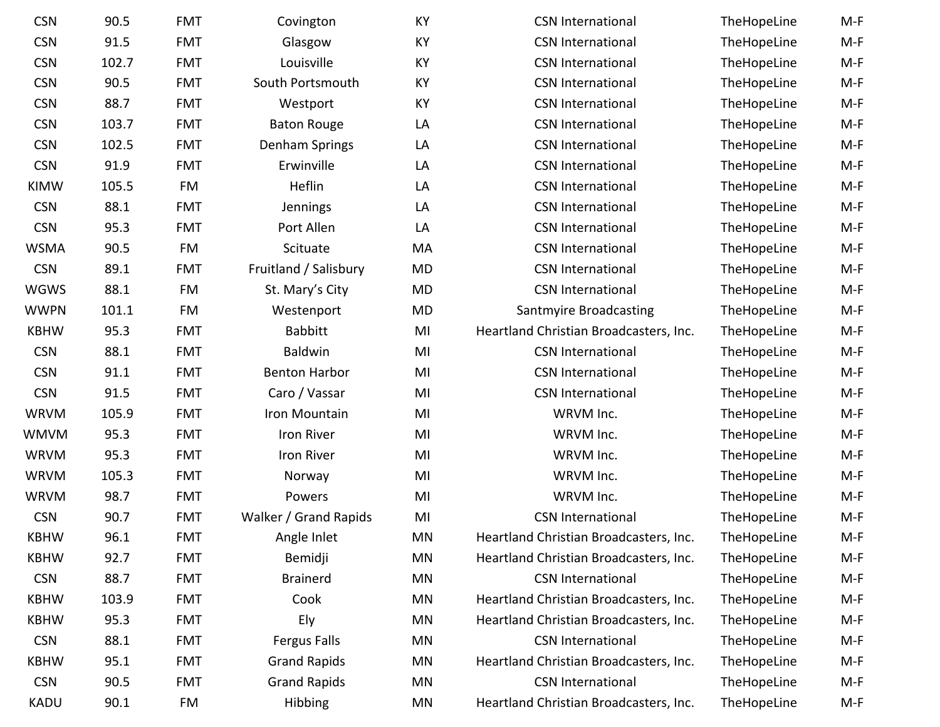| <b>CSN</b>  | 90.5  | <b>FMT</b> | Covington             | KY        | <b>CSN International</b>               | TheHopeLine | $M-F$ |
|-------------|-------|------------|-----------------------|-----------|----------------------------------------|-------------|-------|
| <b>CSN</b>  | 91.5  | <b>FMT</b> | Glasgow               | KY        | <b>CSN International</b>               | TheHopeLine | $M-F$ |
| <b>CSN</b>  | 102.7 | <b>FMT</b> | Louisville            | KY        | <b>CSN International</b>               | TheHopeLine | $M-F$ |
| <b>CSN</b>  | 90.5  | <b>FMT</b> | South Portsmouth      | KY        | <b>CSN International</b>               | TheHopeLine | $M-F$ |
| <b>CSN</b>  | 88.7  | <b>FMT</b> | Westport              | KY        | <b>CSN International</b>               | TheHopeLine | $M-F$ |
| <b>CSN</b>  | 103.7 | <b>FMT</b> | <b>Baton Rouge</b>    | LA        | <b>CSN International</b>               | TheHopeLine | $M-F$ |
| <b>CSN</b>  | 102.5 | <b>FMT</b> | Denham Springs        | LA        | <b>CSN International</b>               | TheHopeLine | $M-F$ |
| <b>CSN</b>  | 91.9  | <b>FMT</b> | Erwinville            | LA        | <b>CSN International</b>               | TheHopeLine | $M-F$ |
| <b>KIMW</b> | 105.5 | FM         | Heflin                | LA        | <b>CSN International</b>               | TheHopeLine | $M-F$ |
| <b>CSN</b>  | 88.1  | <b>FMT</b> | Jennings              | LA        | <b>CSN International</b>               | TheHopeLine | $M-F$ |
| <b>CSN</b>  | 95.3  | <b>FMT</b> | Port Allen            | LA        | <b>CSN International</b>               | TheHopeLine | $M-F$ |
| <b>WSMA</b> | 90.5  | <b>FM</b>  | Scituate              | MA        | <b>CSN International</b>               | TheHopeLine | $M-F$ |
| <b>CSN</b>  | 89.1  | <b>FMT</b> | Fruitland / Salisbury | <b>MD</b> | <b>CSN International</b>               | TheHopeLine | $M-F$ |
| <b>WGWS</b> | 88.1  | FM         | St. Mary's City       | <b>MD</b> | <b>CSN International</b>               | TheHopeLine | $M-F$ |
| <b>WWPN</b> | 101.1 | FM         | Westenport            | MD        | Santmyire Broadcasting                 | TheHopeLine | $M-F$ |
| <b>KBHW</b> | 95.3  | <b>FMT</b> | <b>Babbitt</b>        | MI        | Heartland Christian Broadcasters, Inc. | TheHopeLine | $M-F$ |
| <b>CSN</b>  | 88.1  | <b>FMT</b> | <b>Baldwin</b>        | MI        | <b>CSN International</b>               | TheHopeLine | $M-F$ |
| <b>CSN</b>  | 91.1  | <b>FMT</b> | <b>Benton Harbor</b>  | MI        | <b>CSN International</b>               | TheHopeLine | $M-F$ |
| <b>CSN</b>  | 91.5  | <b>FMT</b> | Caro / Vassar         | MI        | <b>CSN International</b>               | TheHopeLine | $M-F$ |
| <b>WRVM</b> | 105.9 | <b>FMT</b> | Iron Mountain         | MI        | WRVM Inc.                              | TheHopeLine | $M-F$ |
| <b>WMVM</b> | 95.3  | <b>FMT</b> | Iron River            | MI        | WRVM Inc.                              | TheHopeLine | $M-F$ |
| <b>WRVM</b> | 95.3  | <b>FMT</b> | Iron River            | MI        | WRVM Inc.                              | TheHopeLine | $M-F$ |
| <b>WRVM</b> | 105.3 | <b>FMT</b> | Norway                | MI        | WRVM Inc.                              | TheHopeLine | $M-F$ |
| <b>WRVM</b> | 98.7  | <b>FMT</b> | Powers                | MI        | WRVM Inc.                              | TheHopeLine | $M-F$ |
| <b>CSN</b>  | 90.7  | <b>FMT</b> | Walker / Grand Rapids | MI        | <b>CSN International</b>               | TheHopeLine | $M-F$ |
| <b>KBHW</b> | 96.1  | <b>FMT</b> | Angle Inlet           | <b>MN</b> | Heartland Christian Broadcasters, Inc. | TheHopeLine | $M-F$ |
| <b>KBHW</b> | 92.7  | <b>FMT</b> | Bemidji               | MN        | Heartland Christian Broadcasters, Inc. | TheHopeLine | M-F   |
| <b>CSN</b>  | 88.7  | <b>FMT</b> | <b>Brainerd</b>       | <b>MN</b> | <b>CSN International</b>               | TheHopeLine | $M-F$ |
| <b>KBHW</b> | 103.9 | <b>FMT</b> | Cook                  | MN        | Heartland Christian Broadcasters, Inc. | TheHopeLine | M-F   |
| <b>KBHW</b> | 95.3  | <b>FMT</b> | Ely                   | <b>MN</b> | Heartland Christian Broadcasters, Inc. | TheHopeLine | $M-F$ |
| <b>CSN</b>  | 88.1  | <b>FMT</b> | Fergus Falls          | MN        | <b>CSN International</b>               | TheHopeLine | $M-F$ |
| <b>KBHW</b> | 95.1  | <b>FMT</b> | <b>Grand Rapids</b>   | MN        | Heartland Christian Broadcasters, Inc. | TheHopeLine | $M-F$ |
| <b>CSN</b>  | 90.5  | <b>FMT</b> | <b>Grand Rapids</b>   | MN        | <b>CSN International</b>               | TheHopeLine | M-F   |
| <b>KADU</b> | 90.1  | FM         | Hibbing               | MN        | Heartland Christian Broadcasters, Inc. | TheHopeLine | M-F   |
|             |       |            |                       |           |                                        |             |       |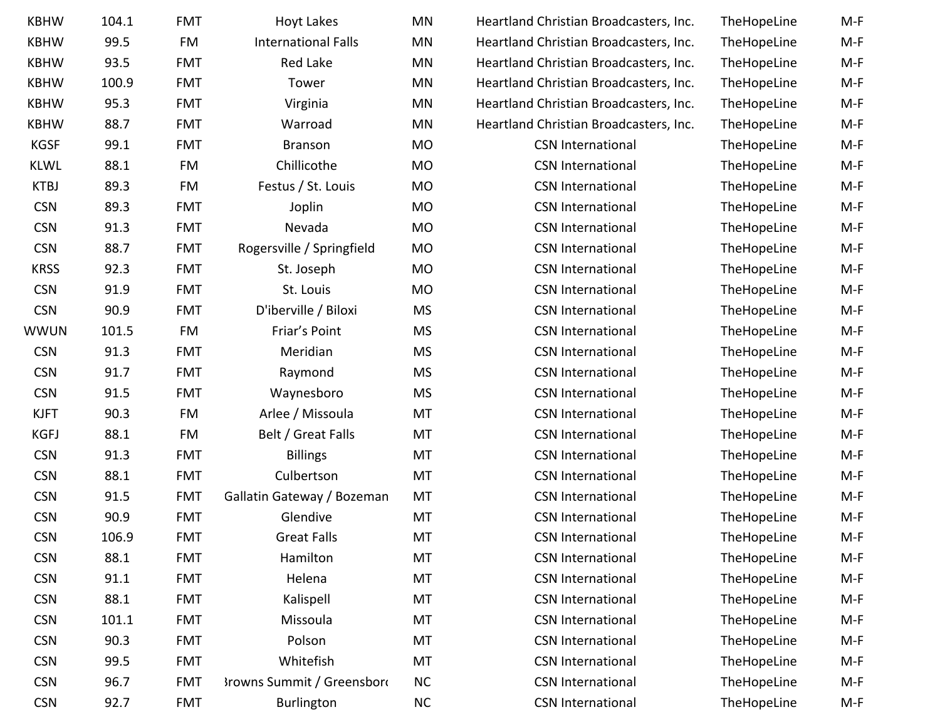| <b>KBHW</b> | 104.1 | <b>FMT</b> | <b>Hoyt Lakes</b>                 | MN        | Heartland Christian Broadcasters, Inc. | TheHopeLine | $M-F$ |
|-------------|-------|------------|-----------------------------------|-----------|----------------------------------------|-------------|-------|
| <b>KBHW</b> | 99.5  | FM         | <b>International Falls</b>        | MN        | Heartland Christian Broadcasters, Inc. | TheHopeLine | $M-F$ |
| <b>KBHW</b> | 93.5  | <b>FMT</b> | <b>Red Lake</b>                   | MN        | Heartland Christian Broadcasters, Inc. | TheHopeLine | $M-F$ |
| <b>KBHW</b> | 100.9 | <b>FMT</b> | Tower                             | MN        | Heartland Christian Broadcasters, Inc. | TheHopeLine | $M-F$ |
| <b>KBHW</b> | 95.3  | <b>FMT</b> | Virginia                          | MN        | Heartland Christian Broadcasters, Inc. | TheHopeLine | $M-F$ |
| <b>KBHW</b> | 88.7  | <b>FMT</b> | Warroad                           | MN        | Heartland Christian Broadcasters, Inc. | TheHopeLine | $M-F$ |
| <b>KGSF</b> | 99.1  | <b>FMT</b> | <b>Branson</b>                    | MO        | <b>CSN International</b>               | TheHopeLine | $M-F$ |
| <b>KLWL</b> | 88.1  | FM         | Chillicothe                       | <b>MO</b> | <b>CSN International</b>               | TheHopeLine | $M-F$ |
| <b>KTBJ</b> | 89.3  | FM         | Festus / St. Louis                | <b>MO</b> | <b>CSN International</b>               | TheHopeLine | $M-F$ |
| <b>CSN</b>  | 89.3  | <b>FMT</b> | Joplin                            | <b>MO</b> | <b>CSN International</b>               | TheHopeLine | $M-F$ |
| <b>CSN</b>  | 91.3  | <b>FMT</b> | Nevada                            | <b>MO</b> | <b>CSN International</b>               | TheHopeLine | $M-F$ |
| <b>CSN</b>  | 88.7  | <b>FMT</b> | Rogersville / Springfield         | <b>MO</b> | <b>CSN International</b>               | TheHopeLine | $M-F$ |
| <b>KRSS</b> | 92.3  | <b>FMT</b> | St. Joseph                        | <b>MO</b> | <b>CSN International</b>               | TheHopeLine | $M-F$ |
| <b>CSN</b>  | 91.9  | <b>FMT</b> | St. Louis                         | <b>MO</b> | <b>CSN International</b>               | TheHopeLine | $M-F$ |
| <b>CSN</b>  | 90.9  | <b>FMT</b> | D'iberville / Biloxi              | <b>MS</b> | <b>CSN International</b>               | TheHopeLine | $M-F$ |
| WWUN        | 101.5 | FM         | Friar's Point                     | <b>MS</b> | <b>CSN International</b>               | TheHopeLine | $M-F$ |
| <b>CSN</b>  | 91.3  | <b>FMT</b> | Meridian                          | <b>MS</b> | <b>CSN International</b>               | TheHopeLine | $M-F$ |
| <b>CSN</b>  | 91.7  | <b>FMT</b> | Raymond                           | <b>MS</b> | <b>CSN International</b>               | TheHopeLine | $M-F$ |
| <b>CSN</b>  | 91.5  | <b>FMT</b> | Waynesboro                        | <b>MS</b> | <b>CSN International</b>               | TheHopeLine | $M-F$ |
| <b>KJFT</b> | 90.3  | FM         | Arlee / Missoula                  | MT        | <b>CSN International</b>               | TheHopeLine | $M-F$ |
| <b>KGFJ</b> | 88.1  | FM         | Belt / Great Falls                | MT        | <b>CSN International</b>               | TheHopeLine | $M-F$ |
| <b>CSN</b>  | 91.3  | <b>FMT</b> | <b>Billings</b>                   | MT        | <b>CSN International</b>               | TheHopeLine | $M-F$ |
| <b>CSN</b>  | 88.1  | <b>FMT</b> | Culbertson                        | MT        | <b>CSN International</b>               | TheHopeLine | $M-F$ |
| <b>CSN</b>  | 91.5  | <b>FMT</b> | Gallatin Gateway / Bozeman        | MT        | <b>CSN International</b>               | TheHopeLine | $M-F$ |
| <b>CSN</b>  | 90.9  | <b>FMT</b> | Glendive                          | MT        | <b>CSN International</b>               | TheHopeLine | $M-F$ |
| <b>CSN</b>  | 106.9 | <b>FMT</b> | <b>Great Falls</b>                | MT        | <b>CSN International</b>               | TheHopeLine | $M-F$ |
| <b>CSN</b>  | 88.1  | <b>FMT</b> | Hamilton                          | MT        | <b>CSN International</b>               | TheHopeLine | $M-F$ |
| <b>CSN</b>  | 91.1  | <b>FMT</b> | Helena                            | MT        | <b>CSN</b> International               | TheHopeLine | $M-F$ |
| <b>CSN</b>  | 88.1  | <b>FMT</b> | Kalispell                         | MT        | <b>CSN International</b>               | TheHopeLine | $M-F$ |
| <b>CSN</b>  | 101.1 | <b>FMT</b> | Missoula                          | MT        | <b>CSN International</b>               | TheHopeLine | $M-F$ |
| <b>CSN</b>  | 90.3  | <b>FMT</b> | Polson                            | MT        | <b>CSN International</b>               | TheHopeLine | M-F   |
| <b>CSN</b>  | 99.5  | <b>FMT</b> | Whitefish                         | MT        | <b>CSN International</b>               | TheHopeLine | M-F   |
| <b>CSN</b>  | 96.7  | <b>FMT</b> | <b>3rowns Summit / Greensbord</b> | <b>NC</b> | <b>CSN International</b>               | TheHopeLine | M-F   |
| <b>CSN</b>  | 92.7  | <b>FMT</b> | Burlington                        | <b>NC</b> | <b>CSN International</b>               | TheHopeLine | M-F   |

|    | <b>MN</b> | Heartland Christian Broadcasters, Inc. | <b>TheHopeLine</b> | M-F   |
|----|-----------|----------------------------------------|--------------------|-------|
|    | <b>MN</b> | Heartland Christian Broadcasters, Inc. | TheHopeLine        | $M-F$ |
|    | <b>MN</b> | Heartland Christian Broadcasters, Inc. | TheHopeLine        | $M-F$ |
|    | MN        | Heartland Christian Broadcasters, Inc. | TheHopeLine        | $M-F$ |
|    | <b>MN</b> | Heartland Christian Broadcasters, Inc. | TheHopeLine        | $M-F$ |
|    | <b>MN</b> | Heartland Christian Broadcasters, Inc. | TheHopeLine        | $M-F$ |
|    | <b>MO</b> | <b>CSN International</b>               | TheHopeLine        | $M-F$ |
|    | <b>MO</b> | <b>CSN International</b>               | TheHopeLine        | $M-F$ |
|    | <b>MO</b> | <b>CSN International</b>               | TheHopeLine        | $M-F$ |
|    | <b>MO</b> | <b>CSN International</b>               | TheHopeLine        | $M-F$ |
|    | <b>MO</b> | <b>CSN International</b>               | TheHopeLine        | $M-F$ |
|    | <b>MO</b> | <b>CSN International</b>               | TheHopeLine        | $M-F$ |
|    | <b>MO</b> | <b>CSN International</b>               | TheHopeLine        | $M-F$ |
|    | <b>MO</b> | <b>CSN International</b>               | TheHopeLine        | $M-F$ |
|    | <b>MS</b> | <b>CSN International</b>               | TheHopeLine        | $M-F$ |
|    | <b>MS</b> | <b>CSN International</b>               | TheHopeLine        | $M-F$ |
|    | <b>MS</b> | <b>CSN International</b>               | TheHopeLine        | $M-F$ |
|    | <b>MS</b> | <b>CSN International</b>               | TheHopeLine        | $M-F$ |
|    | <b>MS</b> | <b>CSN International</b>               | TheHopeLine        | $M-F$ |
|    | MT        | <b>CSN International</b>               | TheHopeLine        | $M-F$ |
|    | MT        | <b>CSN International</b>               | TheHopeLine        | $M-F$ |
|    | MT        | <b>CSN International</b>               | TheHopeLine        | $M-F$ |
|    | MT        | <b>CSN International</b>               | TheHopeLine        | $M-F$ |
| n  | MT        | <b>CSN International</b>               | TheHopeLine        | $M-F$ |
|    | MT        | <b>CSN International</b>               | TheHopeLine        | $M-F$ |
|    | MT        | <b>CSN International</b>               | TheHopeLine        | $M-F$ |
|    | МT        | <b>CSN International</b>               | TheHopeLine        | M-F   |
|    | MT        | <b>CSN International</b>               | TheHopeLine        | M-F   |
|    | MT        | <b>CSN International</b>               | TheHopeLine        | M-F   |
|    | MT        | <b>CSN International</b>               | TheHopeLine        | M-F   |
|    | MT        | <b>CSN International</b>               | TheHopeLine        | M-F   |
|    | MT        | <b>CSN International</b>               | TheHopeLine        | M-F   |
| r٢ | <b>NC</b> | <b>CSN International</b>               | TheHopeLine        | M-F   |
|    | <b>NC</b> | <b>CSN International</b>               | TheHopeLine        | M-F   |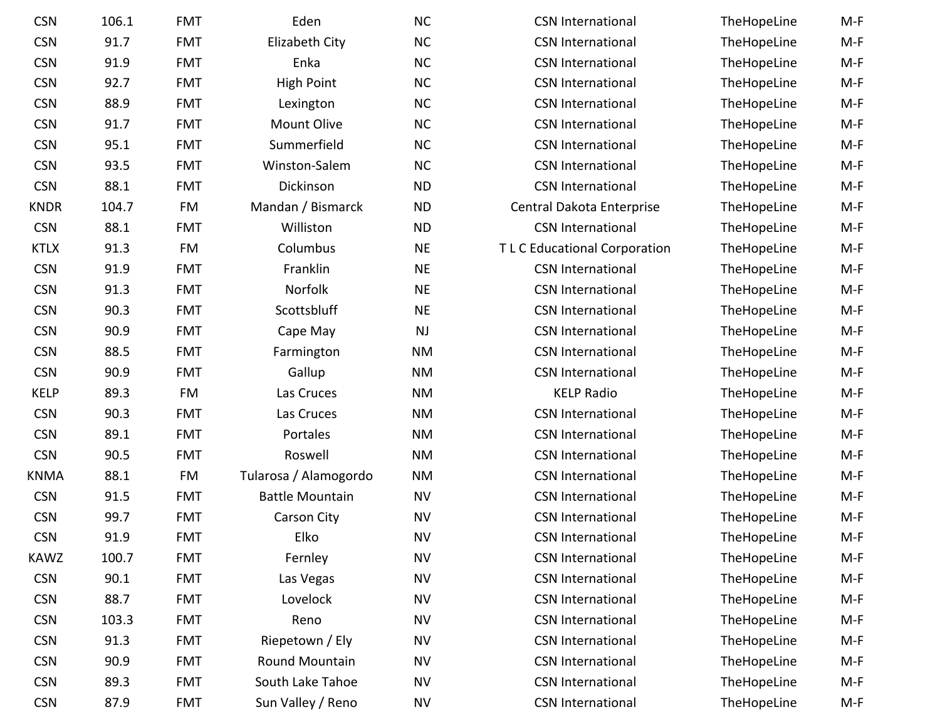| <b>CSN</b>  | 106.1 | <b>FMT</b> | Eden                   | <b>NC</b> | <b>CSN International</b>      | TheHopeLine | $M-F$ |
|-------------|-------|------------|------------------------|-----------|-------------------------------|-------------|-------|
| <b>CSN</b>  | 91.7  | <b>FMT</b> | <b>Elizabeth City</b>  | <b>NC</b> | <b>CSN International</b>      | TheHopeLine | $M-F$ |
| <b>CSN</b>  | 91.9  | <b>FMT</b> | Enka                   | NC        | <b>CSN International</b>      | TheHopeLine | $M-F$ |
| <b>CSN</b>  | 92.7  | <b>FMT</b> | <b>High Point</b>      | NC        | <b>CSN International</b>      | TheHopeLine | $M-F$ |
| <b>CSN</b>  | 88.9  | <b>FMT</b> | Lexington              | <b>NC</b> | <b>CSN International</b>      | TheHopeLine | $M-F$ |
| <b>CSN</b>  | 91.7  | <b>FMT</b> | <b>Mount Olive</b>     | <b>NC</b> | <b>CSN International</b>      | TheHopeLine | $M-F$ |
| <b>CSN</b>  | 95.1  | <b>FMT</b> | Summerfield            | <b>NC</b> | <b>CSN International</b>      | TheHopeLine | $M-F$ |
| <b>CSN</b>  | 93.5  | <b>FMT</b> | Winston-Salem          | <b>NC</b> | <b>CSN International</b>      | TheHopeLine | $M-F$ |
| <b>CSN</b>  | 88.1  | <b>FMT</b> | Dickinson              | <b>ND</b> | <b>CSN International</b>      | TheHopeLine | $M-F$ |
| <b>KNDR</b> | 104.7 | FM         | Mandan / Bismarck      | <b>ND</b> | Central Dakota Enterprise     | TheHopeLine | $M-F$ |
| <b>CSN</b>  | 88.1  | <b>FMT</b> | Williston              | <b>ND</b> | <b>CSN International</b>      | TheHopeLine | $M-F$ |
| <b>KTLX</b> | 91.3  | FM         | Columbus               | <b>NE</b> | T L C Educational Corporation | TheHopeLine | $M-F$ |
| <b>CSN</b>  | 91.9  | <b>FMT</b> | Franklin               | <b>NE</b> | <b>CSN International</b>      | TheHopeLine | $M-F$ |
| <b>CSN</b>  | 91.3  | <b>FMT</b> | Norfolk                | <b>NE</b> | <b>CSN International</b>      | TheHopeLine | $M-F$ |
| <b>CSN</b>  | 90.3  | <b>FMT</b> | Scottsbluff            | <b>NE</b> | <b>CSN International</b>      | TheHopeLine | $M-F$ |
| <b>CSN</b>  | 90.9  | <b>FMT</b> | Cape May               | NJ        | <b>CSN International</b>      | TheHopeLine | $M-F$ |
| <b>CSN</b>  | 88.5  | <b>FMT</b> | Farmington             | NM        | <b>CSN International</b>      | TheHopeLine | $M-F$ |
| <b>CSN</b>  | 90.9  | <b>FMT</b> | Gallup                 | NM        | <b>CSN International</b>      | TheHopeLine | $M-F$ |
| <b>KELP</b> | 89.3  | FM         | Las Cruces             | <b>NM</b> | <b>KELP Radio</b>             | TheHopeLine | $M-F$ |
| <b>CSN</b>  | 90.3  | <b>FMT</b> | Las Cruces             | <b>NM</b> | <b>CSN International</b>      | TheHopeLine | $M-F$ |
| <b>CSN</b>  | 89.1  | <b>FMT</b> | Portales               | <b>NM</b> | <b>CSN International</b>      | TheHopeLine | $M-F$ |
| <b>CSN</b>  | 90.5  | <b>FMT</b> | Roswell                | <b>NM</b> | <b>CSN International</b>      | TheHopeLine | $M-F$ |
| KNMA        | 88.1  | FM         | Tularosa / Alamogordo  | <b>NM</b> | <b>CSN International</b>      | TheHopeLine | $M-F$ |
| <b>CSN</b>  | 91.5  | <b>FMT</b> | <b>Battle Mountain</b> | <b>NV</b> | <b>CSN International</b>      | TheHopeLine | $M-F$ |
| <b>CSN</b>  | 99.7  | <b>FMT</b> | <b>Carson City</b>     | <b>NV</b> | <b>CSN International</b>      | TheHopeLine | $M-F$ |
| <b>CSN</b>  | 91.9  | <b>FMT</b> | Elko                   | <b>NV</b> | <b>CSN International</b>      | TheHopeLine | $M-F$ |
| <b>KAWZ</b> | 100.7 | <b>FMT</b> | Fernley                | <b>NV</b> | <b>CSN International</b>      | TheHopeLine | $M-F$ |
| <b>CSN</b>  | 90.1  | <b>FMT</b> | Las Vegas              | <b>NV</b> | <b>CSN International</b>      | TheHopeLine | $M-F$ |
| <b>CSN</b>  | 88.7  | <b>FMT</b> | Lovelock               | <b>NV</b> | <b>CSN International</b>      | TheHopeLine | $M-F$ |
| <b>CSN</b>  | 103.3 | <b>FMT</b> | Reno                   | <b>NV</b> | <b>CSN International</b>      | TheHopeLine | $M-F$ |
| <b>CSN</b>  | 91.3  | <b>FMT</b> | Riepetown / Ely        | <b>NV</b> | <b>CSN International</b>      | TheHopeLine | $M-F$ |
| <b>CSN</b>  | 90.9  | <b>FMT</b> | Round Mountain         | <b>NV</b> | <b>CSN International</b>      | TheHopeLine | M-F   |
| <b>CSN</b>  | 89.3  | <b>FMT</b> | South Lake Tahoe       | <b>NV</b> | <b>CSN International</b>      | TheHopeLine | M-F   |
| <b>CSN</b>  | 87.9  | <b>FMT</b> | Sun Valley / Reno      | <b>NV</b> | <b>CSN International</b>      | TheHopeLine | M-F   |

| CSN         | 106.1 | <b>FMT</b> | Eden                   | <b>NC</b> | <b>CSN International</b>           | TheHopeLine | M-F   |
|-------------|-------|------------|------------------------|-----------|------------------------------------|-------------|-------|
| CSN         | 91.7  | <b>FMT</b> | Elizabeth City         | <b>NC</b> | <b>CSN International</b>           | TheHopeLine | M-F   |
| CSN         | 91.9  | <b>FMT</b> | Enka                   | <b>NC</b> | <b>CSN International</b>           | TheHopeLine | $M-F$ |
| CSN         | 92.7  | <b>FMT</b> | <b>High Point</b>      | <b>NC</b> | <b>CSN International</b>           | TheHopeLine | $M-F$ |
| <b>CSN</b>  | 88.9  | <b>FMT</b> | Lexington              | <b>NC</b> | <b>CSN International</b>           | TheHopeLine | M-F   |
| CSN         | 91.7  | <b>FMT</b> | <b>Mount Olive</b>     | <b>NC</b> | <b>CSN International</b>           | TheHopeLine | $M-F$ |
| CSN         | 95.1  | <b>FMT</b> | Summerfield            | <b>NC</b> | <b>CSN International</b>           | TheHopeLine | M-F   |
| <b>CSN</b>  | 93.5  | <b>FMT</b> | Winston-Salem          | <b>NC</b> | <b>CSN International</b>           | TheHopeLine | $M-F$ |
| CSN         | 88.1  | <b>FMT</b> | Dickinson              | <b>ND</b> | <b>CSN International</b>           | TheHopeLine | $M-F$ |
| <b>NDR</b>  | 104.7 | FM         | Mandan / Bismarck      | <b>ND</b> | Central Dakota Enterprise          | TheHopeLine | M-F   |
| CSN         | 88.1  | <b>FMT</b> | Williston              | <b>ND</b> | <b>CSN International</b>           | TheHopeLine | $M-F$ |
| <b>KTLX</b> | 91.3  | FM         | Columbus               | <b>NE</b> | <b>TLC Educational Corporation</b> | TheHopeLine | $M-F$ |
| CSN         | 91.9  | <b>FMT</b> | Franklin               | <b>NE</b> | <b>CSN International</b>           | TheHopeLine | M-F   |
| CSN         | 91.3  | <b>FMT</b> | Norfolk                | <b>NE</b> | <b>CSN International</b>           | TheHopeLine | M-F   |
| <b>CSN</b>  | 90.3  | <b>FMT</b> | Scottsbluff            | <b>NE</b> | <b>CSN International</b>           | TheHopeLine | $M-F$ |
| CSN         | 90.9  | <b>FMT</b> | Cape May               | <b>NJ</b> | <b>CSN International</b>           | TheHopeLine | $M-F$ |
| CSN         | 88.5  | <b>FMT</b> | Farmington             | <b>NM</b> | <b>CSN International</b>           | TheHopeLine | M-F   |
| CSN         | 90.9  | <b>FMT</b> | Gallup                 | <b>NM</b> | <b>CSN International</b>           | TheHopeLine | M-F   |
| <b>CELP</b> | 89.3  | FM         | Las Cruces             | <b>NM</b> | <b>KELP Radio</b>                  | TheHopeLine | $M-F$ |
| CSN         | 90.3  | <b>FMT</b> | Las Cruces             | <b>NM</b> | <b>CSN International</b>           | TheHopeLine | M-F   |
| CSN         | 89.1  | <b>FMT</b> | Portales               | <b>NM</b> | <b>CSN International</b>           | TheHopeLine | $M-F$ |
| CSN         | 90.5  | <b>FMT</b> | Roswell                | <b>NM</b> | <b>CSN International</b>           | TheHopeLine | M-F   |
| NMA         | 88.1  | FM         | Tularosa / Alamogordo  | <b>NM</b> | <b>CSN International</b>           | TheHopeLine | M-F   |
| CSN         | 91.5  | <b>FMT</b> | <b>Battle Mountain</b> | <b>NV</b> | <b>CSN International</b>           | TheHopeLine | M-F   |
| CSN         | 99.7  | <b>FMT</b> | <b>Carson City</b>     | <b>NV</b> | <b>CSN International</b>           | TheHopeLine | $M-F$ |
| CSN         | 91.9  | <b>FMT</b> | Elko                   | <b>NV</b> | <b>CSN International</b>           | TheHopeLine | M-F   |
| AWZ         | 100.7 | <b>FMT</b> | Fernley                | <b>NV</b> | <b>CSN International</b>           | TheHopeLine | M-F   |
| CSN         | 90.1  | <b>FMT</b> | Las Vegas              | <b>NV</b> | <b>CSN International</b>           | TheHopeLine | $M-F$ |
| CSN         | 88.7  | <b>FMT</b> | Lovelock               | <b>NV</b> | <b>CSN International</b>           | TheHopeLine | $M-F$ |
| CSN         | 103.3 | <b>FMT</b> | Reno                   | <b>NV</b> | <b>CSN International</b>           | TheHopeLine | M-F   |
| CSN         | 91.3  | <b>FMT</b> | Riepetown / Ely        | <b>NV</b> | <b>CSN International</b>           | TheHopeLine | M-F   |
| CSN         | 90.9  | <b>FMT</b> | Round Mountain         | <b>NV</b> | <b>CSN International</b>           | TheHopeLine | M-F   |
| CSN         | 89.3  | <b>FMT</b> | South Lake Tahoe       | <b>NV</b> | <b>CSN International</b>           | TheHopeLine | $M-F$ |
| CSN         | 87.9  | <b>FMT</b> | Sun Valley / Reno      | <b>NV</b> | <b>CSN International</b>           | TheHopeLine | M-F   |
|             |       |            |                        |           |                                    |             |       |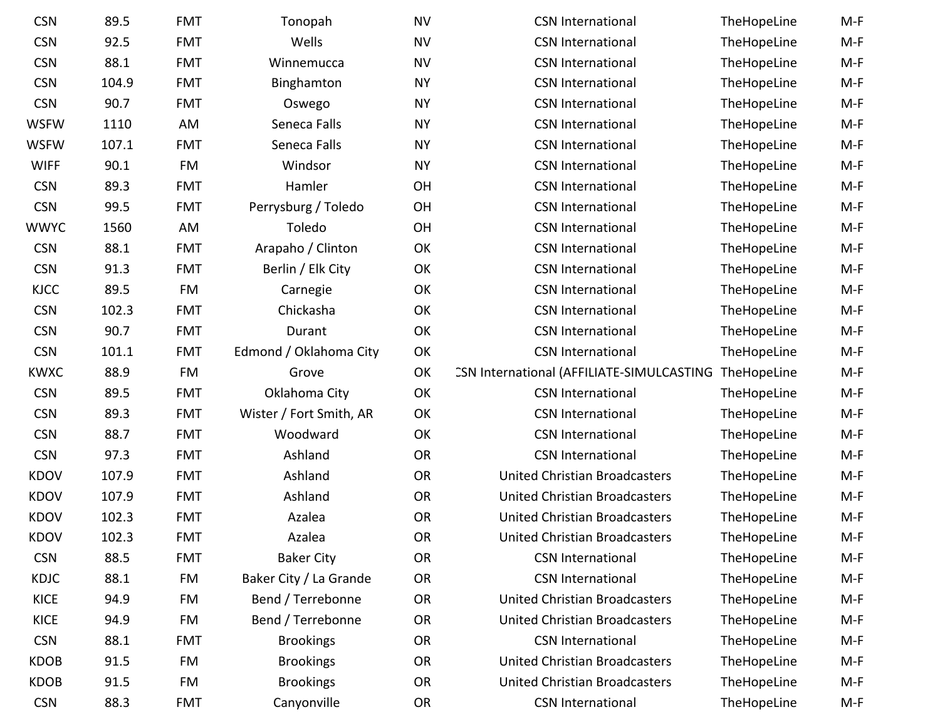| <b>CSN</b>  | 89.5  | <b>FMT</b> | Tonopah                 | <b>NV</b> | <b>CSN International</b>                  | TheHopeLine | M-F   |
|-------------|-------|------------|-------------------------|-----------|-------------------------------------------|-------------|-------|
| <b>CSN</b>  | 92.5  | <b>FMT</b> | Wells                   | <b>NV</b> | <b>CSN International</b>                  | TheHopeLine | $M-F$ |
| <b>CSN</b>  | 88.1  | <b>FMT</b> | Winnemucca              | <b>NV</b> | <b>CSN International</b>                  | TheHopeLine | $M-F$ |
| <b>CSN</b>  | 104.9 | <b>FMT</b> | Binghamton              | <b>NY</b> | <b>CSN International</b>                  | TheHopeLine | $M-F$ |
| <b>CSN</b>  | 90.7  | <b>FMT</b> | Oswego                  | <b>NY</b> | <b>CSN International</b>                  | TheHopeLine | $M-F$ |
| <b>WSFW</b> | 1110  | AM         | Seneca Falls            | <b>NY</b> | <b>CSN International</b>                  | TheHopeLine | $M-F$ |
| <b>WSFW</b> | 107.1 | <b>FMT</b> | Seneca Falls            | <b>NY</b> | <b>CSN International</b>                  | TheHopeLine | $M-F$ |
| <b>WIFF</b> | 90.1  | FM         | Windsor                 | <b>NY</b> | <b>CSN International</b>                  | TheHopeLine | $M-F$ |
| <b>CSN</b>  | 89.3  | <b>FMT</b> | Hamler                  | OH        | <b>CSN International</b>                  | TheHopeLine | $M-F$ |
| <b>CSN</b>  | 99.5  | <b>FMT</b> | Perrysburg / Toledo     | OH        | <b>CSN International</b>                  | TheHopeLine | $M-F$ |
| <b>WWYC</b> | 1560  | AM         | Toledo                  | OH        | <b>CSN International</b>                  | TheHopeLine | $M-F$ |
| <b>CSN</b>  | 88.1  | <b>FMT</b> | Arapaho / Clinton       | OK        | <b>CSN International</b>                  | TheHopeLine | $M-F$ |
| <b>CSN</b>  | 91.3  | <b>FMT</b> | Berlin / Elk City       | OK        | <b>CSN International</b>                  | TheHopeLine | $M-F$ |
| <b>KJCC</b> | 89.5  | FM         | Carnegie                | OK        | <b>CSN International</b>                  | TheHopeLine | $M-F$ |
| <b>CSN</b>  | 102.3 | <b>FMT</b> | Chickasha               | OK        | <b>CSN International</b>                  | TheHopeLine | $M-F$ |
| <b>CSN</b>  | 90.7  | <b>FMT</b> | Durant                  | OK        | <b>CSN International</b>                  | TheHopeLine | $M-F$ |
| <b>CSN</b>  | 101.1 | <b>FMT</b> | Edmond / Oklahoma City  | OK        | <b>CSN International</b>                  | TheHopeLine | $M-F$ |
| <b>KWXC</b> | 88.9  | FM         | Grove                   | OK        | CSN International (AFFILIATE-SIMULCASTING | TheHopeLine | $M-F$ |
| <b>CSN</b>  | 89.5  | <b>FMT</b> | Oklahoma City           | OK        | <b>CSN International</b>                  | TheHopeLine | $M-F$ |
| <b>CSN</b>  | 89.3  | <b>FMT</b> | Wister / Fort Smith, AR | OK        | <b>CSN International</b>                  | TheHopeLine | $M-F$ |
| <b>CSN</b>  | 88.7  | <b>FMT</b> | Woodward                | OK        | <b>CSN International</b>                  | TheHopeLine | $M-F$ |
| <b>CSN</b>  | 97.3  | <b>FMT</b> | Ashland                 | <b>OR</b> | <b>CSN International</b>                  | TheHopeLine | $M-F$ |
| <b>KDOV</b> | 107.9 | <b>FMT</b> | Ashland                 | <b>OR</b> | United Christian Broadcasters             | TheHopeLine | $M-F$ |
| <b>KDOV</b> | 107.9 | <b>FMT</b> | Ashland                 | <b>OR</b> | United Christian Broadcasters             | TheHopeLine | $M-F$ |
| <b>KDOV</b> | 102.3 | <b>FMT</b> | Azalea                  | <b>OR</b> | <b>United Christian Broadcasters</b>      | TheHopeLine | $M-F$ |
| <b>KDOV</b> | 102.3 | <b>FMT</b> | Azalea                  | <b>OR</b> | <b>United Christian Broadcasters</b>      | TheHopeLine | $M-F$ |
| <b>CSN</b>  | 88.5  | <b>FMT</b> | <b>Baker City</b>       | OR        | <b>CSN International</b>                  | TheHopeLine | M-F   |
| KDJC        | 88.1  | FM         | Baker City / La Grande  | <b>OR</b> | <b>CSN International</b>                  | TheHopeLine | $M-F$ |
| <b>KICE</b> | 94.9  | FM         | Bend / Terrebonne       | OR        | <b>United Christian Broadcasters</b>      | TheHopeLine | M-F   |
| <b>KICE</b> | 94.9  | FM         | Bend / Terrebonne       | OR        | <b>United Christian Broadcasters</b>      | TheHopeLine | $M-F$ |
| <b>CSN</b>  | 88.1  | <b>FMT</b> | <b>Brookings</b>        | <b>OR</b> | <b>CSN International</b>                  | TheHopeLine | $M-F$ |
| <b>KDOB</b> | 91.5  | FM         | <b>Brookings</b>        | OR        | <b>United Christian Broadcasters</b>      | TheHopeLine | $M-F$ |
| <b>KDOB</b> | 91.5  | FM         | <b>Brookings</b>        | <b>OR</b> | <b>United Christian Broadcasters</b>      | TheHopeLine | $M-F$ |
| <b>CSN</b>  | 88.3  | <b>FMT</b> | Canyonville             | <b>OR</b> | <b>CSN International</b>                  | TheHopeLine | $M-F$ |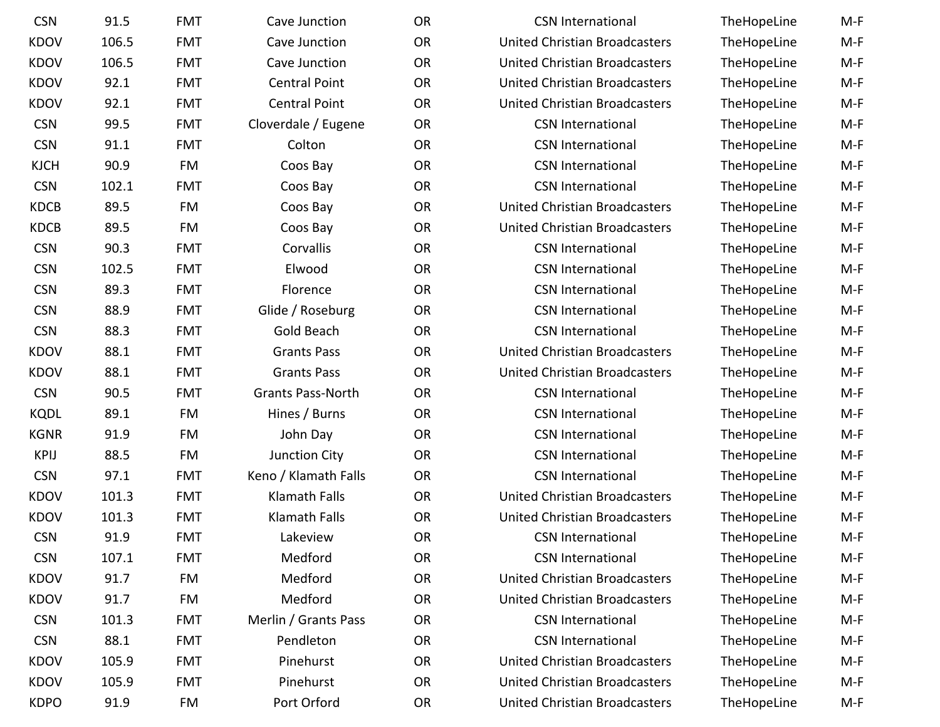| <b>CSN</b>  | 91.5  | <b>FMT</b> | Cave Junction            | <b>OR</b> | <b>CSN International</b>             | TheHopeLine | $M-F$ |
|-------------|-------|------------|--------------------------|-----------|--------------------------------------|-------------|-------|
| <b>KDOV</b> | 106.5 | <b>FMT</b> | Cave Junction            | <b>OR</b> | <b>United Christian Broadcasters</b> | TheHopeLine | $M-F$ |
| <b>KDOV</b> | 106.5 | <b>FMT</b> | Cave Junction            | <b>OR</b> | <b>United Christian Broadcasters</b> | TheHopeLine | $M-F$ |
| <b>KDOV</b> | 92.1  | <b>FMT</b> | <b>Central Point</b>     | <b>OR</b> | United Christian Broadcasters        | TheHopeLine | $M-F$ |
| <b>KDOV</b> | 92.1  | <b>FMT</b> | <b>Central Point</b>     | <b>OR</b> | <b>United Christian Broadcasters</b> | TheHopeLine | $M-F$ |
| <b>CSN</b>  | 99.5  | <b>FMT</b> | Cloverdale / Eugene      | <b>OR</b> | <b>CSN International</b>             | TheHopeLine | $M-F$ |
| <b>CSN</b>  | 91.1  | <b>FMT</b> | Colton                   | <b>OR</b> | <b>CSN International</b>             | TheHopeLine | $M-F$ |
| <b>KJCH</b> | 90.9  | FM         | Coos Bay                 | <b>OR</b> | <b>CSN International</b>             | TheHopeLine | $M-F$ |
| <b>CSN</b>  | 102.1 | <b>FMT</b> | Coos Bay                 | <b>OR</b> | <b>CSN International</b>             | TheHopeLine | $M-F$ |
| <b>KDCB</b> | 89.5  | FM         | Coos Bay                 | <b>OR</b> | <b>United Christian Broadcasters</b> | TheHopeLine | $M-F$ |
| <b>KDCB</b> | 89.5  | FM         | Coos Bay                 | <b>OR</b> | <b>United Christian Broadcasters</b> | TheHopeLine | $M-F$ |
| <b>CSN</b>  | 90.3  | <b>FMT</b> | Corvallis                | <b>OR</b> | <b>CSN International</b>             | TheHopeLine | $M-F$ |
| <b>CSN</b>  | 102.5 | <b>FMT</b> | Elwood                   | <b>OR</b> | <b>CSN International</b>             | TheHopeLine | $M-F$ |
| <b>CSN</b>  | 89.3  | <b>FMT</b> | Florence                 | <b>OR</b> | <b>CSN International</b>             | TheHopeLine | $M-F$ |
| <b>CSN</b>  | 88.9  | <b>FMT</b> | Glide / Roseburg         | <b>OR</b> | <b>CSN International</b>             | TheHopeLine | $M-F$ |
| <b>CSN</b>  | 88.3  | <b>FMT</b> | Gold Beach               | <b>OR</b> | <b>CSN International</b>             | TheHopeLine | $M-F$ |
| <b>KDOV</b> | 88.1  | <b>FMT</b> | <b>Grants Pass</b>       | <b>OR</b> | United Christian Broadcasters        | TheHopeLine | $M-F$ |
| <b>KDOV</b> | 88.1  | <b>FMT</b> | <b>Grants Pass</b>       | <b>OR</b> | <b>United Christian Broadcasters</b> | TheHopeLine | $M-F$ |
| <b>CSN</b>  | 90.5  | <b>FMT</b> | <b>Grants Pass-North</b> | <b>OR</b> | <b>CSN International</b>             | TheHopeLine | $M-F$ |
| <b>KQDL</b> | 89.1  | FM         | Hines / Burns            | <b>OR</b> | <b>CSN International</b>             | TheHopeLine | $M-F$ |
| <b>KGNR</b> | 91.9  | FM         | John Day                 | <b>OR</b> | <b>CSN International</b>             | TheHopeLine | $M-F$ |
| <b>KPIJ</b> | 88.5  | FM         | Junction City            | <b>OR</b> | <b>CSN International</b>             | TheHopeLine | $M-F$ |
| <b>CSN</b>  | 97.1  | <b>FMT</b> | Keno / Klamath Falls     | <b>OR</b> | <b>CSN International</b>             | TheHopeLine | $M-F$ |
| <b>KDOV</b> | 101.3 | <b>FMT</b> | Klamath Falls            | <b>OR</b> | <b>United Christian Broadcasters</b> | TheHopeLine | $M-F$ |
| <b>KDOV</b> | 101.3 | <b>FMT</b> | <b>Klamath Falls</b>     | <b>OR</b> | <b>United Christian Broadcasters</b> | TheHopeLine | $M-F$ |
| <b>CSN</b>  | 91.9  | <b>FMT</b> | Lakeview                 | <b>OR</b> | <b>CSN International</b>             | TheHopeLine | $M-F$ |
| <b>CSN</b>  | 107.1 | <b>FMT</b> | Medford                  | <b>OR</b> | <b>CSN International</b>             | TheHopeLine | M-F   |
| <b>KDOV</b> | 91.7  | FM         | Medford                  | OR        | <b>United Christian Broadcasters</b> | TheHopeLine | $M-F$ |
| <b>KDOV</b> | 91.7  | FM         | Medford                  | <b>OR</b> | United Christian Broadcasters        | TheHopeLine | M-F   |
| <b>CSN</b>  | 101.3 | <b>FMT</b> | Merlin / Grants Pass     | <b>OR</b> | <b>CSN</b> International             | TheHopeLine | $M-F$ |
| <b>CSN</b>  | 88.1  | <b>FMT</b> | Pendleton                | <b>OR</b> | <b>CSN International</b>             | TheHopeLine | M-F   |
| <b>KDOV</b> | 105.9 | <b>FMT</b> | Pinehurst                | <b>OR</b> | United Christian Broadcasters        | TheHopeLine | $M-F$ |
| <b>KDOV</b> | 105.9 | <b>FMT</b> | Pinehurst                | <b>OR</b> | <b>United Christian Broadcasters</b> | TheHopeLine | M-F   |
| <b>KDPO</b> | 91.9  | FM         | Port Orford              | <b>OR</b> | United Christian Broadcasters        | TheHopeLine | M-F   |
|             |       |            |                          |           |                                      |             |       |

| <b>CSN International</b>             | TheHopeLine | M-F   |
|--------------------------------------|-------------|-------|
| <b>United Christian Broadcasters</b> | TheHopeLine | $M-F$ |
| <b>United Christian Broadcasters</b> | TheHopeLine | $M-F$ |
| <b>United Christian Broadcasters</b> | TheHopeLine | $M-F$ |
| <b>United Christian Broadcasters</b> | TheHopeLine | $M-F$ |
| <b>CSN International</b>             | TheHopeLine | $M-F$ |
| <b>CSN International</b>             | TheHopeLine | M-F   |
| <b>CSN International</b>             | TheHopeLine | $M-F$ |
| <b>CSN International</b>             | TheHopeLine | $M-F$ |
| <b>United Christian Broadcasters</b> | TheHopeLine | $M-F$ |
| <b>United Christian Broadcasters</b> | TheHopeLine | $M-F$ |
| <b>CSN International</b>             | TheHopeLine | $M-F$ |
| <b>CSN International</b>             | TheHopeLine | $M-F$ |
| <b>CSN International</b>             | TheHopeLine | $M-F$ |
| <b>CSN International</b>             | TheHopeLine | M-F   |
| <b>CSN International</b>             | TheHopeLine | $M-F$ |
| <b>United Christian Broadcasters</b> | TheHopeLine | M-F   |
| <b>United Christian Broadcasters</b> | TheHopeLine | $M-F$ |
| <b>CSN International</b>             | TheHopeLine | $M-F$ |
| <b>CSN International</b>             | TheHopeLine | $M-F$ |
| <b>CSN International</b>             | TheHopeLine | $M-F$ |
| <b>CSN International</b>             | TheHopeLine | $M-F$ |
| <b>CSN International</b>             | TheHopeLine | $M-F$ |
| <b>United Christian Broadcasters</b> | TheHopeLine | M-F   |
| <b>United Christian Broadcasters</b> | TheHopeLine | M-F   |
| <b>CSN International</b>             | TheHopeLine | M-F   |
| <b>CSN International</b>             | TheHopeLine | M-F   |
| <b>United Christian Broadcasters</b> | TheHopeLine | M-F   |
| <b>United Christian Broadcasters</b> | TheHopeLine | M-F   |
| <b>CSN International</b>             | TheHopeLine | M-F   |
| <b>CSN International</b>             | TheHopeLine | M-F   |
| <b>United Christian Broadcasters</b> | TheHopeLine | $M-F$ |
| <b>United Christian Broadcasters</b> | TheHopeLine | M-F   |
| <b>United Christian Broadcasters</b> | TheHopeLine | M-F   |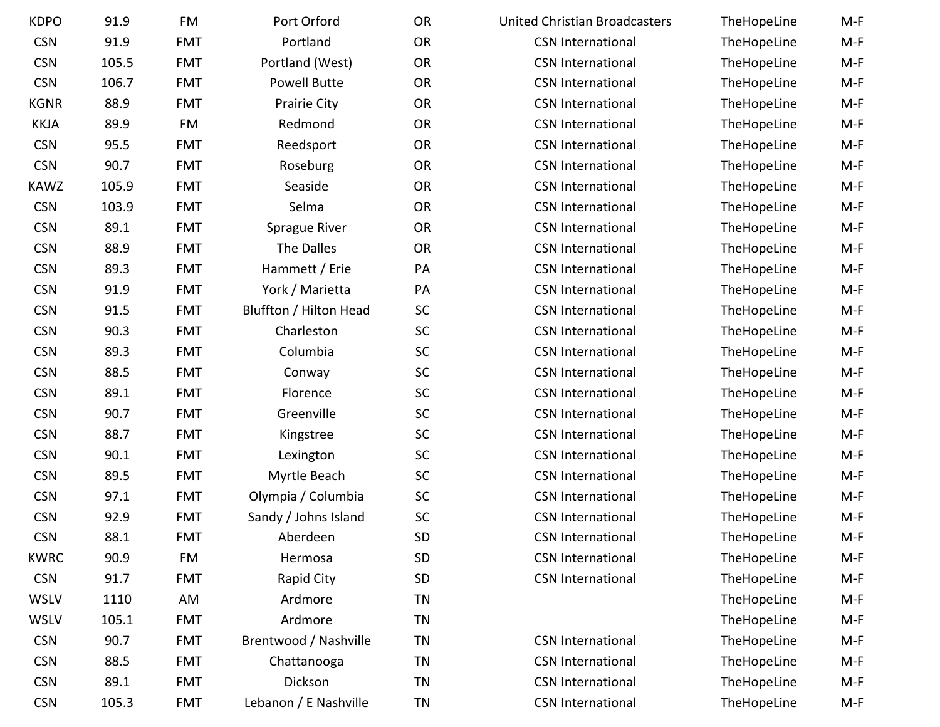| <b>KDPO</b> | 91.9  | <b>FM</b>  | Port Orford            | <b>OR</b> | <b>United Christian Broadcasters</b> | TheHopeLine | $M-F$ |
|-------------|-------|------------|------------------------|-----------|--------------------------------------|-------------|-------|
| <b>CSN</b>  | 91.9  | <b>FMT</b> | Portland               | <b>OR</b> | <b>CSN International</b>             | TheHopeLine | $M-F$ |
| <b>CSN</b>  | 105.5 | <b>FMT</b> | Portland (West)        | <b>OR</b> | <b>CSN International</b>             | TheHopeLine | $M-F$ |
| <b>CSN</b>  | 106.7 | <b>FMT</b> | <b>Powell Butte</b>    | <b>OR</b> | <b>CSN International</b>             | TheHopeLine | $M-F$ |
| <b>KGNR</b> | 88.9  | <b>FMT</b> | Prairie City           | <b>OR</b> | <b>CSN International</b>             | TheHopeLine | $M-F$ |
| <b>KKJA</b> | 89.9  | FM         | Redmond                | OR        | <b>CSN International</b>             | TheHopeLine | $M-F$ |
| <b>CSN</b>  | 95.5  | <b>FMT</b> | Reedsport              | <b>OR</b> | <b>CSN International</b>             | TheHopeLine | $M-F$ |
| <b>CSN</b>  | 90.7  | <b>FMT</b> | Roseburg               | <b>OR</b> | <b>CSN International</b>             | TheHopeLine | $M-F$ |
| <b>KAWZ</b> | 105.9 | <b>FMT</b> | Seaside                | <b>OR</b> | <b>CSN International</b>             | TheHopeLine | $M-F$ |
| <b>CSN</b>  | 103.9 | <b>FMT</b> | Selma                  | <b>OR</b> | <b>CSN International</b>             | TheHopeLine | $M-F$ |
| <b>CSN</b>  | 89.1  | <b>FMT</b> | Sprague River          | <b>OR</b> | <b>CSN International</b>             | TheHopeLine | $M-F$ |
| <b>CSN</b>  | 88.9  | <b>FMT</b> | The Dalles             | <b>OR</b> | <b>CSN International</b>             | TheHopeLine | $M-F$ |
| <b>CSN</b>  | 89.3  | <b>FMT</b> | Hammett / Erie         | PA        | <b>CSN International</b>             | TheHopeLine | $M-F$ |
| <b>CSN</b>  | 91.9  | <b>FMT</b> | York / Marietta        | PA        | <b>CSN International</b>             | TheHopeLine | $M-F$ |
| <b>CSN</b>  | 91.5  | <b>FMT</b> | Bluffton / Hilton Head | SC        | <b>CSN International</b>             | TheHopeLine | $M-F$ |
| <b>CSN</b>  | 90.3  | <b>FMT</b> | Charleston             | SC        | <b>CSN International</b>             | TheHopeLine | $M-F$ |
| <b>CSN</b>  | 89.3  | <b>FMT</b> | Columbia               | <b>SC</b> | <b>CSN International</b>             | TheHopeLine | $M-F$ |
| <b>CSN</b>  | 88.5  | <b>FMT</b> | Conway                 | SC        | <b>CSN International</b>             | TheHopeLine | $M-F$ |
| <b>CSN</b>  | 89.1  | <b>FMT</b> | Florence               | <b>SC</b> | <b>CSN International</b>             | TheHopeLine | $M-F$ |
| <b>CSN</b>  | 90.7  | <b>FMT</b> | Greenville             | SC        | <b>CSN International</b>             | TheHopeLine | $M-F$ |
| <b>CSN</b>  | 88.7  | <b>FMT</b> | Kingstree              | SC        | <b>CSN International</b>             | TheHopeLine | $M-F$ |
| <b>CSN</b>  | 90.1  | <b>FMT</b> | Lexington              | <b>SC</b> | <b>CSN International</b>             | TheHopeLine | $M-F$ |
| <b>CSN</b>  | 89.5  | <b>FMT</b> | Myrtle Beach           | <b>SC</b> | <b>CSN International</b>             | TheHopeLine | $M-F$ |
| <b>CSN</b>  | 97.1  | <b>FMT</b> | Olympia / Columbia     | SC        | <b>CSN International</b>             | TheHopeLine | $M-F$ |
| <b>CSN</b>  | 92.9  | <b>FMT</b> | Sandy / Johns Island   | $\sf SC$  | <b>CSN International</b>             | TheHopeLine | $M-F$ |
| <b>CSN</b>  | 88.1  | <b>FMT</b> | Aberdeen               | <b>SD</b> | <b>CSN International</b>             | TheHopeLine | $M-F$ |
| <b>KWRC</b> | 90.9  | FM         | Hermosa                | <b>SD</b> | <b>CSN International</b>             | TheHopeLine | $M-F$ |
| <b>CSN</b>  | 91.7  | <b>FMT</b> | Rapid City             | SD        | <b>CSN International</b>             | TheHopeLine | $M-F$ |
| <b>WSLV</b> | 1110  | AM         | Ardmore                | ΤN        |                                      | TheHopeLine | $M-F$ |
| <b>WSLV</b> | 105.1 | <b>FMT</b> | Ardmore                | <b>TN</b> |                                      | TheHopeLine | $M-F$ |
| <b>CSN</b>  | 90.7  | <b>FMT</b> | Brentwood / Nashville  | ΤN        | <b>CSN International</b>             | TheHopeLine | $M-F$ |
| <b>CSN</b>  | 88.5  | <b>FMT</b> | Chattanooga            | TN        | <b>CSN International</b>             | TheHopeLine | $M-F$ |
| <b>CSN</b>  | 89.1  | <b>FMT</b> | Dickson                | TN        | <b>CSN International</b>             | TheHopeLine | $M-F$ |
| <b>CSN</b>  | 105.3 | <b>FMT</b> | Lebanon / E Nashville  | <b>TN</b> | <b>CSN International</b>             | TheHopeLine | $M-F$ |
|             |       |            |                        |           |                                      |             |       |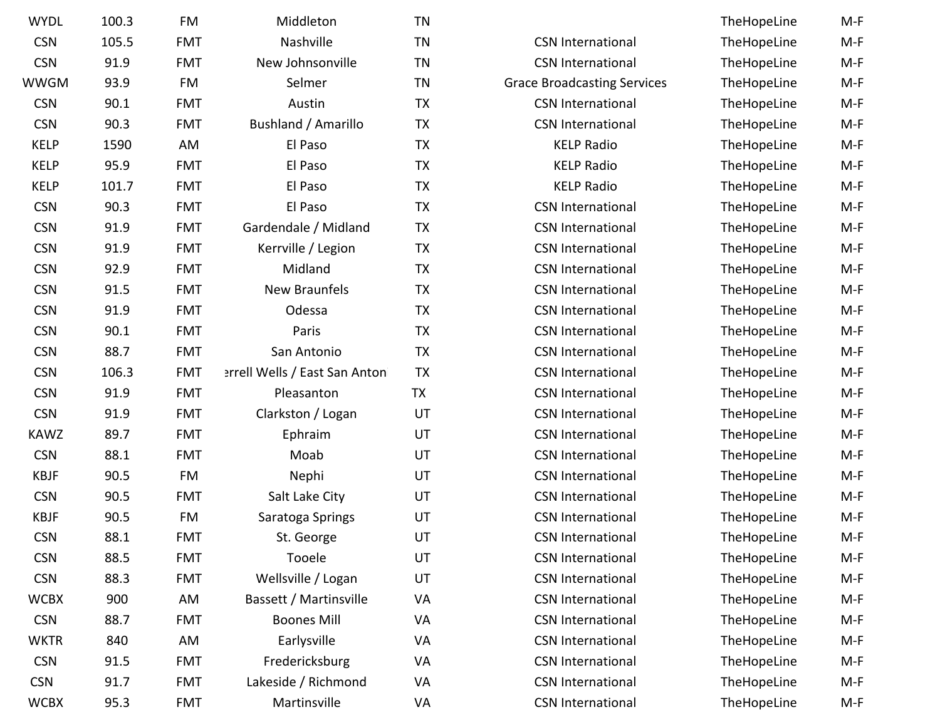| <b>WYDL</b> | 100.3 | FM         | Middleton                     | <b>TN</b> |                                    | TheHopeLine | $M-F$ |
|-------------|-------|------------|-------------------------------|-----------|------------------------------------|-------------|-------|
| <b>CSN</b>  | 105.5 | <b>FMT</b> | Nashville                     | <b>TN</b> | <b>CSN International</b>           | TheHopeLine | $M-F$ |
| <b>CSN</b>  | 91.9  | <b>FMT</b> | New Johnsonville              | <b>TN</b> | <b>CSN International</b>           | TheHopeLine | $M-F$ |
| <b>WWGM</b> | 93.9  | FM         | Selmer                        | <b>TN</b> | <b>Grace Broadcasting Services</b> | TheHopeLine | $M-F$ |
| <b>CSN</b>  | 90.1  | <b>FMT</b> | Austin                        | <b>TX</b> | <b>CSN International</b>           | TheHopeLine | $M-F$ |
| <b>CSN</b>  | 90.3  | <b>FMT</b> | Bushland / Amarillo           | <b>TX</b> | <b>CSN International</b>           | TheHopeLine | $M-F$ |
| <b>KELP</b> | 1590  | AM         | El Paso                       | <b>TX</b> | <b>KELP Radio</b>                  | TheHopeLine | $M-F$ |
| <b>KELP</b> | 95.9  | <b>FMT</b> | El Paso                       | <b>TX</b> | <b>KELP Radio</b>                  | TheHopeLine | $M-F$ |
| <b>KELP</b> | 101.7 | <b>FMT</b> | El Paso                       | <b>TX</b> | <b>KELP Radio</b>                  | TheHopeLine | $M-F$ |
| <b>CSN</b>  | 90.3  | <b>FMT</b> | El Paso                       | <b>TX</b> | <b>CSN International</b>           | TheHopeLine | $M-F$ |
| <b>CSN</b>  | 91.9  | <b>FMT</b> | Gardendale / Midland          | <b>TX</b> | <b>CSN International</b>           | TheHopeLine | $M-F$ |
| <b>CSN</b>  | 91.9  | <b>FMT</b> | Kerrville / Legion            | <b>TX</b> | <b>CSN International</b>           | TheHopeLine | $M-F$ |
| <b>CSN</b>  | 92.9  | <b>FMT</b> | Midland                       | <b>TX</b> | <b>CSN International</b>           | TheHopeLine | $M-F$ |
| <b>CSN</b>  | 91.5  | <b>FMT</b> | New Braunfels                 | <b>TX</b> | <b>CSN International</b>           | TheHopeLine | $M-F$ |
| <b>CSN</b>  | 91.9  | <b>FMT</b> | Odessa                        | <b>TX</b> | <b>CSN International</b>           | TheHopeLine | $M-F$ |
| <b>CSN</b>  | 90.1  | <b>FMT</b> | Paris                         | <b>TX</b> | <b>CSN International</b>           | TheHopeLine | $M-F$ |
| <b>CSN</b>  | 88.7  | <b>FMT</b> | San Antonio                   | <b>TX</b> | <b>CSN International</b>           | TheHopeLine | $M-F$ |
| <b>CSN</b>  | 106.3 | <b>FMT</b> | errell Wells / East San Anton | <b>TX</b> | <b>CSN International</b>           | TheHopeLine | $M-F$ |
| <b>CSN</b>  | 91.9  | <b>FMT</b> | Pleasanton                    | <b>TX</b> | <b>CSN International</b>           | TheHopeLine | $M-F$ |
| <b>CSN</b>  | 91.9  | <b>FMT</b> | Clarkston / Logan             | UT        | <b>CSN International</b>           | TheHopeLine | $M-F$ |
| <b>KAWZ</b> | 89.7  | <b>FMT</b> | Ephraim                       | UT        | <b>CSN International</b>           | TheHopeLine | $M-F$ |
| <b>CSN</b>  | 88.1  | <b>FMT</b> | Moab                          | UT        | <b>CSN International</b>           | TheHopeLine | $M-F$ |
| <b>KBJF</b> | 90.5  | FM         | Nephi                         | UT        | <b>CSN International</b>           | TheHopeLine | $M-F$ |
| <b>CSN</b>  | 90.5  | <b>FMT</b> | Salt Lake City                | UT        | <b>CSN International</b>           | TheHopeLine | $M-F$ |
| <b>KBJF</b> | 90.5  | <b>FM</b>  | Saratoga Springs              | UT        | <b>CSN International</b>           | TheHopeLine | $M-F$ |
| <b>CSN</b>  | 88.1  | <b>FMT</b> | St. George                    | UT        | <b>CSN International</b>           | TheHopeLine | M-F   |
| <b>CSN</b>  | 88.5  | <b>FMT</b> | Tooele                        | UT        | <b>CSN</b> International           | TheHopeLine | $M-F$ |
| <b>CSN</b>  | 88.3  | <b>FMT</b> | Wellsville / Logan            | UT        | <b>CSN International</b>           | TheHopeLine | $M-F$ |
| <b>WCBX</b> | 900   | AM         | Bassett / Martinsville        | <b>VA</b> | <b>CSN International</b>           | TheHopeLine | $M-F$ |
| <b>CSN</b>  | 88.7  | <b>FMT</b> | <b>Boones Mill</b>            | <b>VA</b> | <b>CSN International</b>           | TheHopeLine | $M-F$ |
| <b>WKTR</b> | 840   | AM         | Earlysville                   | <b>VA</b> | <b>CSN International</b>           | TheHopeLine | $M-F$ |
| <b>CSN</b>  | 91.5  | <b>FMT</b> | Fredericksburg                | <b>VA</b> | <b>CSN</b> International           | TheHopeLine | $M-F$ |
| <b>CSN</b>  | 91.7  | <b>FMT</b> | Lakeside / Richmond           | <b>VA</b> | <b>CSN International</b>           | TheHopeLine | M-F   |
| <b>WCBX</b> | 95.3  | <b>FMT</b> | Martinsville                  | VA        | <b>CSN International</b>           | TheHopeLine | $M-F$ |

| n              | ΤN        |                                    | TheHopeLine | M-F   |
|----------------|-----------|------------------------------------|-------------|-------|
|                | <b>TN</b> | <b>CSN International</b>           | TheHopeLine | $M-F$ |
| iville         | <b>TN</b> | <b>CSN International</b>           | TheHopeLine | $M-F$ |
|                | ΤN        | <b>Grace Broadcasting Services</b> | TheHopeLine | M-F   |
|                | <b>TX</b> | <b>CSN International</b>           | TheHopeLine | $M-F$ |
| arillo         | TX        | <b>CSN International</b>           | TheHopeLine | $M-F$ |
|                | <b>TX</b> | <b>KELP Radio</b>                  | TheHopeLine | $M-F$ |
|                | <b>TX</b> | <b>KELP Radio</b>                  | TheHopeLine | $M-F$ |
|                | <b>TX</b> | <b>KELP Radio</b>                  | TheHopeLine | $M-F$ |
|                | <b>TX</b> | <b>CSN International</b>           | TheHopeLine | $M-F$ |
| <b>lidland</b> | TX        | <b>CSN International</b>           | TheHopeLine | $M-F$ |
| gion           | TX        | <b>CSN International</b>           | TheHopeLine | $M-F$ |
|                | TX        | <b>CSN International</b>           | TheHopeLine | $M-F$ |
| fels           | TX        | <b>CSN International</b>           | TheHopeLine | $M-F$ |
|                | TX        | <b>CSN International</b>           | TheHopeLine | $M-F$ |
|                | <b>TX</b> | <b>CSN International</b>           | TheHopeLine | $M-F$ |
| io             | TX        | <b>CSN International</b>           | TheHopeLine | $M-F$ |
| ian Anton      | <b>TX</b> | <b>CSN International</b>           | TheHopeLine | $M-F$ |
| n              | <b>TX</b> | <b>CSN International</b>           | TheHopeLine | $M-F$ |
| ogan           | UT        | <b>CSN International</b>           | TheHopeLine | $M-F$ |
|                | UT        | <b>CSN International</b>           | TheHopeLine | $M-F$ |
|                | UT        | <b>CSN International</b>           | TheHopeLine | M-F   |
|                | UT        | <b>CSN International</b>           | TheHopeLine | $M-F$ |
| ity            | UT        | <b>CSN International</b>           | TheHopeLine | M-F   |
| ings           | UT        | <b>CSN International</b>           | TheHopeLine | $M-F$ |
| e              | UT        | <b>CSN International</b>           | TheHopeLine | $M-F$ |
|                | UT        | <b>CSN International</b>           | TheHopeLine | M-F   |
| ogan           | UT        | <b>CSN International</b>           | TheHopeLine | M-F   |
| nsville        | VA        | <b>CSN International</b>           | TheHopeLine | M-F   |
| ill            | VA        | <b>CSN International</b>           | TheHopeLine | M-F   |
| e              | VA        | <b>CSN International</b>           | TheHopeLine | M-F   |
| urg            | VA        | <b>CSN International</b>           | TheHopeLine | M-F   |
| ımond          | VA        | <b>CSN International</b>           | TheHopeLine | M-F   |
| le             | VA        | <b>CSN International</b>           | TheHopeLine | M-F   |
|                |           |                                    |             |       |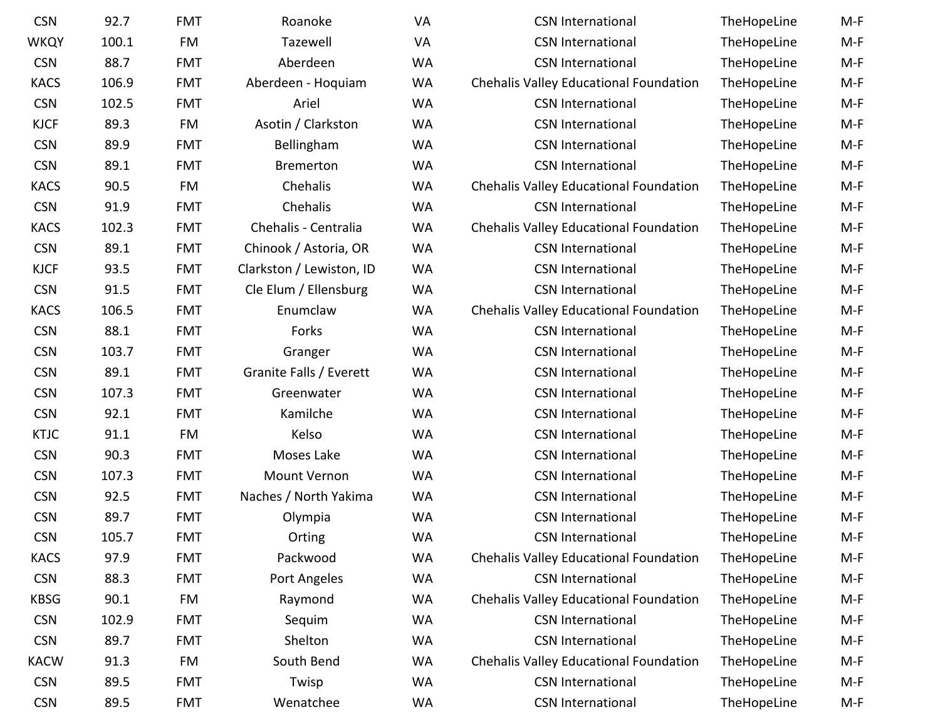| <b>CSN</b>  | 92.7  | <b>FMT</b> | Roanoke                  | VA        | <b>CSN International</b>               | TheHopeLine | $M-F$ |
|-------------|-------|------------|--------------------------|-----------|----------------------------------------|-------------|-------|
| <b>WKQY</b> | 100.1 | FM         | Tazewell                 | <b>VA</b> | <b>CSN International</b>               | TheHopeLine | $M-F$ |
| <b>CSN</b>  | 88.7  | <b>FMT</b> | Aberdeen                 | <b>WA</b> | <b>CSN International</b>               | TheHopeLine | $M-F$ |
| <b>KACS</b> | 106.9 | <b>FMT</b> | Aberdeen - Hoquiam       | <b>WA</b> | Chehalis Valley Educational Foundation | TheHopeLine | $M-F$ |
| <b>CSN</b>  | 102.5 | <b>FMT</b> | Ariel                    | <b>WA</b> | <b>CSN International</b>               | TheHopeLine | $M-F$ |
| <b>KJCF</b> | 89.3  | FM         | Asotin / Clarkston       | <b>WA</b> | <b>CSN International</b>               | TheHopeLine | $M-F$ |
| <b>CSN</b>  | 89.9  | <b>FMT</b> | Bellingham               | <b>WA</b> | <b>CSN International</b>               | TheHopeLine | $M-F$ |
| <b>CSN</b>  | 89.1  | <b>FMT</b> | <b>Bremerton</b>         | <b>WA</b> | <b>CSN International</b>               | TheHopeLine | $M-F$ |
| <b>KACS</b> | 90.5  | FM         | Chehalis                 | <b>WA</b> | Chehalis Valley Educational Foundation | TheHopeLine | $M-F$ |
| <b>CSN</b>  | 91.9  | <b>FMT</b> | Chehalis                 | <b>WA</b> | <b>CSN International</b>               | TheHopeLine | $M-F$ |
| <b>KACS</b> | 102.3 | <b>FMT</b> | Chehalis - Centralia     | <b>WA</b> | Chehalis Valley Educational Foundation | TheHopeLine | $M-F$ |
| <b>CSN</b>  | 89.1  | <b>FMT</b> | Chinook / Astoria, OR    | <b>WA</b> | <b>CSN International</b>               | TheHopeLine | $M-F$ |
| <b>KJCF</b> | 93.5  | <b>FMT</b> | Clarkston / Lewiston, ID | <b>WA</b> | <b>CSN International</b>               | TheHopeLine | $M-F$ |
| <b>CSN</b>  | 91.5  | <b>FMT</b> | Cle Elum / Ellensburg    | <b>WA</b> | <b>CSN International</b>               | TheHopeLine | $M-F$ |
| <b>KACS</b> | 106.5 | <b>FMT</b> | Enumclaw                 | <b>WA</b> | Chehalis Valley Educational Foundation | TheHopeLine | $M-F$ |
| <b>CSN</b>  | 88.1  | <b>FMT</b> | Forks                    | <b>WA</b> | <b>CSN International</b>               | TheHopeLine | $M-F$ |
| <b>CSN</b>  | 103.7 | <b>FMT</b> | Granger                  | <b>WA</b> | <b>CSN International</b>               | TheHopeLine | $M-F$ |
| <b>CSN</b>  | 89.1  | <b>FMT</b> | Granite Falls / Everett  | <b>WA</b> | <b>CSN International</b>               | TheHopeLine | $M-F$ |
| <b>CSN</b>  | 107.3 | <b>FMT</b> | Greenwater               | <b>WA</b> | <b>CSN International</b>               | TheHopeLine | $M-F$ |
| <b>CSN</b>  | 92.1  | <b>FMT</b> | Kamilche                 | <b>WA</b> | <b>CSN International</b>               | TheHopeLine | $M-F$ |
| <b>KTJC</b> | 91.1  | FM         | Kelso                    | <b>WA</b> | <b>CSN International</b>               | TheHopeLine | $M-F$ |
| <b>CSN</b>  | 90.3  | <b>FMT</b> | Moses Lake               | <b>WA</b> | <b>CSN International</b>               | TheHopeLine | $M-F$ |
| <b>CSN</b>  | 107.3 | <b>FMT</b> | Mount Vernon             | <b>WA</b> | <b>CSN International</b>               | TheHopeLine | $M-F$ |
| <b>CSN</b>  | 92.5  | <b>FMT</b> | Naches / North Yakima    | <b>WA</b> | <b>CSN International</b>               | TheHopeLine | $M-F$ |
| <b>CSN</b>  | 89.7  | <b>FMT</b> | Olympia                  | <b>WA</b> | <b>CSN International</b>               | TheHopeLine | $M-F$ |
| <b>CSN</b>  | 105.7 | <b>FMT</b> | Orting                   | <b>WA</b> | <b>CSN International</b>               | TheHopeLine | $M-F$ |
| <b>KACS</b> | 97.9  | <b>FMT</b> | Packwood                 | <b>WA</b> | Chehalis Valley Educational Foundation | TheHopeLine | $M-F$ |
| <b>CSN</b>  | 88.3  | <b>FMT</b> | Port Angeles             | <b>WA</b> | <b>CSN International</b>               | TheHopeLine | $M-F$ |
| <b>KBSG</b> | 90.1  | FM         | Raymond                  | <b>WA</b> | Chehalis Valley Educational Foundation | TheHopeLine | $M-F$ |
| <b>CSN</b>  | 102.9 | <b>FMT</b> | Sequim                   | <b>WA</b> | <b>CSN International</b>               | TheHopeLine | $M-F$ |
| <b>CSN</b>  | 89.7  | <b>FMT</b> | Shelton                  | <b>WA</b> | <b>CSN International</b>               | TheHopeLine | $M-F$ |
| <b>KACW</b> | 91.3  | FM         | South Bend               | <b>WA</b> | Chehalis Valley Educational Foundation | TheHopeLine | $M-F$ |
| <b>CSN</b>  | 89.5  | <b>FMT</b> | Twisp                    | <b>WA</b> | <b>CSN International</b>               | TheHopeLine | $M-F$ |
| <b>CSN</b>  | 89.5  | <b>FMT</b> | Wenatchee                | WA        | <b>CSN International</b>               | TheHopeLine | M-F   |
|             |       |            |                          |           |                                        |             |       |

| <b>CSN International</b>                      | TheHopeLine   | M-F   |
|-----------------------------------------------|---------------|-------|
| <b>CSN International</b>                      | TheHopeLine   | M-F   |
| <b>CSN International</b>                      | TheHopeLine   | M-F   |
| Chehalis Valley Educational Foundation        | TheHopeLine   | M-F   |
| <b>CSN International</b>                      | TheHopeLine   | M-F   |
| <b>CSN International</b>                      | TheHopeLine   | M-F   |
| <b>CSN International</b>                      | TheHopeLine   | $M-F$ |
| <b>CSN International</b>                      | TheHopeLine   | $M-F$ |
| Chehalis Valley Educational Foundation        | TheHopeLine   | M-F   |
| <b>CSN International</b>                      | TheHopeLine   | M-F   |
| <b>Chehalis Valley Educational Foundation</b> | TheHopeLine   | M-F   |
| <b>CSN International</b>                      | TheHopeLine   | M-F   |
| <b>CSN International</b>                      | TheHopeLine   | M-F   |
| <b>CSN International</b>                      | TheHopeLine   | M-F   |
| Chehalis Valley Educational Foundation        | TheHopeLine   | M-F   |
| <b>CSN International</b>                      | TheHopeLine   | $M-F$ |
| <b>CSN International</b>                      | TheHopeLine   | M-F   |
| <b>CSN International</b>                      | TheHopeLine   | M-F   |
| <b>CSN International</b>                      | TheHopeLine   | $M-F$ |
| <b>CSN International</b>                      | TheHopeLine   | $M-F$ |
| <b>CSN International</b>                      | TheHopeLine   | M-F   |
| <b>CSN International</b>                      | TheHopeLine   | M-F   |
| <b>CSN International</b>                      | TheHopeLine   | M-F   |
| <b>CSN International</b>                      | TheHopeLine   | M-F   |
| <b>CSN International</b>                      | TheHopeLine   | M-F   |
| <b>CSN International</b>                      | TheHopeLine   | M-F   |
| Chehalis Valley Educational Foundation        | TheHopeLine   | M-F   |
| <b>CSN International</b>                      | TheHopeLine   | M-F   |
| Chehalis Valley Educational Foundation        | TheHopeLine   | M-F   |
| <b>CSN International</b>                      | TheHopeLine   | M-F   |
| <b>CSN International</b>                      | TheHopeLine   | M-F   |
| Chehalis Valley Educational Foundation        | TheHopeLine   | M-F   |
| <b>CSN International</b>                      | TheHopeLine   | M-F   |
| CSN International                             | The Honel ine | M-F   |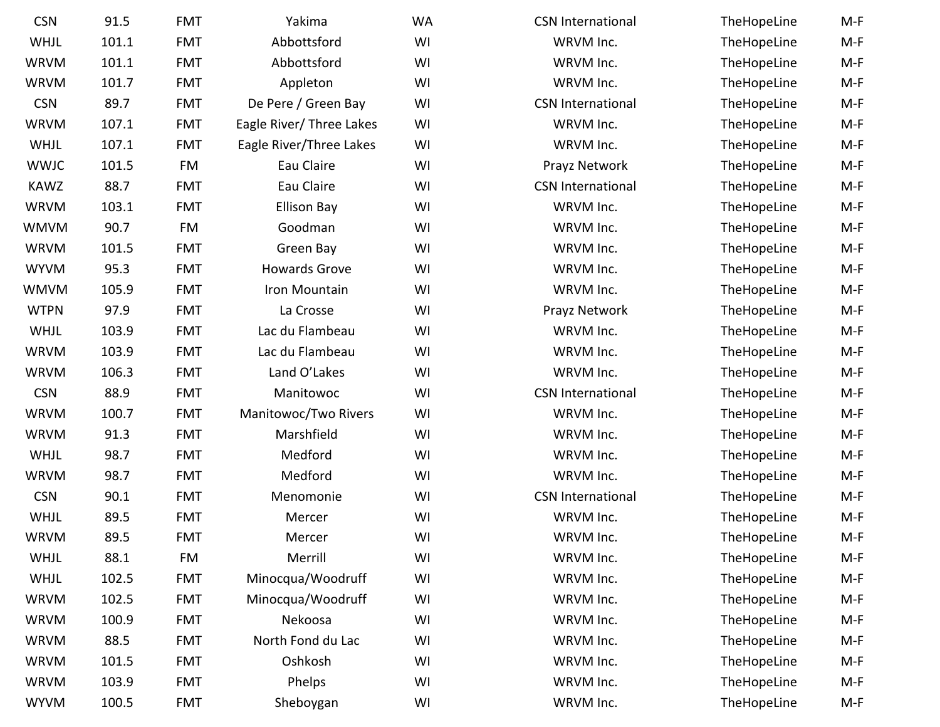| <b>CSN</b>  | 91.5  | <b>FMT</b> | Yakima                   | <b>WA</b> | <b>CSN International</b> | TheHopeLine | $M-F$ |
|-------------|-------|------------|--------------------------|-----------|--------------------------|-------------|-------|
| WHJL        | 101.1 | <b>FMT</b> | Abbottsford              | WI        | WRVM Inc.                | TheHopeLine | $M-F$ |
| <b>WRVM</b> | 101.1 | <b>FMT</b> | Abbottsford              | WI        | WRVM Inc.                | TheHopeLine | $M-F$ |
| <b>WRVM</b> | 101.7 | <b>FMT</b> | Appleton                 | WI        | WRVM Inc.                | TheHopeLine | $M-F$ |
| <b>CSN</b>  | 89.7  | <b>FMT</b> | De Pere / Green Bay      | WI        | <b>CSN International</b> | TheHopeLine | $M-F$ |
| <b>WRVM</b> | 107.1 | <b>FMT</b> | Eagle River/ Three Lakes | WI        | WRVM Inc.                | TheHopeLine | $M-F$ |
| WHJL        | 107.1 | <b>FMT</b> | Eagle River/Three Lakes  | WI        | WRVM Inc.                | TheHopeLine | $M-F$ |
| <b>WWJC</b> | 101.5 | FM         | Eau Claire               | WI        | Prayz Network            | TheHopeLine | $M-F$ |
| <b>KAWZ</b> | 88.7  | <b>FMT</b> | Eau Claire               | WI        | <b>CSN International</b> | TheHopeLine | $M-F$ |
| <b>WRVM</b> | 103.1 | <b>FMT</b> | <b>Ellison Bay</b>       | WI        | WRVM Inc.                | TheHopeLine | $M-F$ |
| <b>WMVM</b> | 90.7  | FM         | Goodman                  | WI        | WRVM Inc.                | TheHopeLine | $M-F$ |
| <b>WRVM</b> | 101.5 | <b>FMT</b> | Green Bay                | WI        | WRVM Inc.                | TheHopeLine | $M-F$ |
| <b>WYVM</b> | 95.3  | <b>FMT</b> | <b>Howards Grove</b>     | WI        | WRVM Inc.                | TheHopeLine | $M-F$ |
| WMVM        | 105.9 | <b>FMT</b> | Iron Mountain            | WI        | WRVM Inc.                | TheHopeLine | $M-F$ |
| <b>WTPN</b> | 97.9  | <b>FMT</b> | La Crosse                | WI        | Prayz Network            | TheHopeLine | $M-F$ |
| WHJL        | 103.9 | <b>FMT</b> | Lac du Flambeau          | WI        | WRVM Inc.                | TheHopeLine | $M-F$ |
| <b>WRVM</b> | 103.9 | <b>FMT</b> | Lac du Flambeau          | WI        | WRVM Inc.                | TheHopeLine | $M-F$ |
| <b>WRVM</b> | 106.3 | <b>FMT</b> | Land O'Lakes             | WI        | WRVM Inc.                | TheHopeLine | $M-F$ |
| <b>CSN</b>  | 88.9  | <b>FMT</b> | Manitowoc                | WI        | <b>CSN International</b> | TheHopeLine | $M-F$ |
| <b>WRVM</b> | 100.7 | <b>FMT</b> | Manitowoc/Two Rivers     | WI        | WRVM Inc.                | TheHopeLine | $M-F$ |
| <b>WRVM</b> | 91.3  | <b>FMT</b> | Marshfield               | WI        | WRVM Inc.                | TheHopeLine | $M-F$ |
| WHJL        | 98.7  | <b>FMT</b> | Medford                  | WI        | WRVM Inc.                | TheHopeLine | $M-F$ |
| <b>WRVM</b> | 98.7  | <b>FMT</b> | Medford                  | WI        | WRVM Inc.                | TheHopeLine | $M-F$ |
| <b>CSN</b>  | 90.1  | <b>FMT</b> | Menomonie                | WI        | <b>CSN International</b> | TheHopeLine | $M-F$ |
| WHJL        | 89.5  | <b>FMT</b> | Mercer                   | WI        | WRVM Inc.                | TheHopeLine | $M-F$ |
| <b>WRVM</b> | 89.5  | <b>FMT</b> | Mercer                   | WI        | WRVM Inc.                | TheHopeLine | M-F   |
| <b>WHJL</b> | 88.1  | FM         | Merrill                  | WI        | WRVM Inc.                | TheHopeLine | $M-F$ |
| <b>WHJL</b> | 102.5 | <b>FMT</b> | Minocqua/Woodruff        | WI        | WRVM Inc.                | TheHopeLine | $M-F$ |
| <b>WRVM</b> | 102.5 | <b>FMT</b> | Minocqua/Woodruff        | WI        | WRVM Inc.                | TheHopeLine | $M-F$ |
| <b>WRVM</b> | 100.9 | <b>FMT</b> | Nekoosa                  | WI        | WRVM Inc.                | TheHopeLine | $M-F$ |
| <b>WRVM</b> | 88.5  | <b>FMT</b> | North Fond du Lac        | WI        | WRVM Inc.                | TheHopeLine | $M-F$ |
| <b>WRVM</b> | 101.5 | <b>FMT</b> | Oshkosh                  | WI        | WRVM Inc.                | TheHopeLine | $M-F$ |
| <b>WRVM</b> | 103.9 | <b>FMT</b> | Phelps                   | WI        | WRVM Inc.                | TheHopeLine | M-F   |
| <b>WYVM</b> | 100.5 | <b>FMT</b> | Sheboygan                | WI        | WRVM Inc.                | TheHopeLine | $M-F$ |
|             |       |            |                          |           |                          |             |       |

| I International | TheHopeLine | M- |
|-----------------|-------------|----|
| WRVM Inc.       | TheHopeLine | M- |
| WRVM Inc.       | TheHopeLine | M- |
| WRVM Inc.       | TheHopeLine | M- |
| I International | TheHopeLine | M- |
| WRVM Inc.       | TheHopeLine | M- |
| WRVM Inc.       | TheHopeLine | M- |
| ayz Network     | TheHopeLine | M- |
| I International | TheHopeLine | M- |
| WRVM Inc.       | TheHopeLine | M- |
| WRVM Inc.       | TheHopeLine | M- |
| WRVM Inc.       | TheHopeLine | M- |
| WRVM Inc.       | TheHopeLine | M- |
| WRVM Inc.       | TheHopeLine | M- |
| ayz Network     | TheHopeLine | M- |
| WRVM Inc.       | TheHopeLine | M- |
| WRVM Inc.       | TheHopeLine | M- |
| WRVM Inc.       | TheHopeLine | M- |
| I International | TheHopeLine | M- |
| WRVM Inc.       | TheHopeLine | M- |
| WRVM Inc.       | TheHopeLine | M- |
| WRVM Inc.       | TheHopeLine | M- |
| WRVM Inc.       | TheHopeLine | M- |
| I International | TheHopeLine | M- |
| WRVM Inc.       | TheHopeLine | M- |
| WRVM Inc.       | TheHopeLine | M- |
| WRVM Inc.       | TheHopeLine | M- |
| WRVM Inc.       | TheHopeLine | M- |
| WRVM Inc.       | TheHopeLine | M- |
| WRVM Inc.       | TheHopeLine | M- |
| WRVM Inc.       | TheHopeLine | M- |
| WRVM Inc.       | TheHopeLine | M- |
| WRVM Inc.       | TheHopeLine | M- |
| WRVM Inc.       | TheHopeLine | M- |
|                 |             |    |